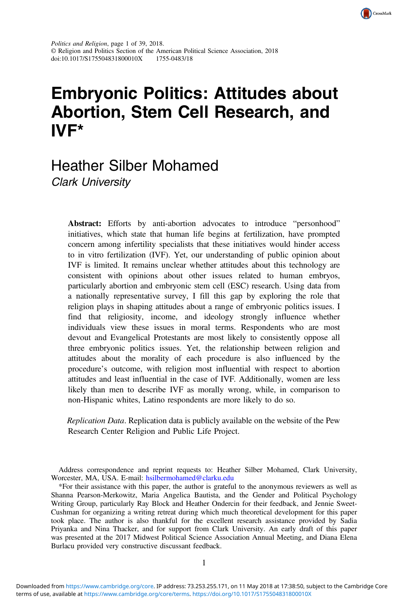

# Embryonic Politics: Attitudes about Abortion, Stem Cell Research, and IVF\*

## Heather Silber Mohamed Clark University

Abstract: Efforts by anti-abortion advocates to introduce "personhood" initiatives, which state that human life begins at fertilization, have prompted concern among infertility specialists that these initiatives would hinder access to in vitro fertilization (IVF). Yet, our understanding of public opinion about IVF is limited. It remains unclear whether attitudes about this technology are consistent with opinions about other issues related to human embryos, particularly abortion and embryonic stem cell (ESC) research. Using data from a nationally representative survey, I fill this gap by exploring the role that religion plays in shaping attitudes about a range of embryonic politics issues. I find that religiosity, income, and ideology strongly influence whether individuals view these issues in moral terms. Respondents who are most devout and Evangelical Protestants are most likely to consistently oppose all three embryonic politics issues. Yet, the relationship between religion and attitudes about the morality of each procedure is also influenced by the procedure's outcome, with religion most influential with respect to abortion attitudes and least influential in the case of IVF. Additionally, women are less likely than men to describe IVF as morally wrong, while, in comparison to non-Hispanic whites, Latino respondents are more likely to do so.

Replication Data. Replication data is publicly available on the website of the Pew Research Center Religion and Public Life Project.

Address correspondence and reprint requests to: Heather Silber Mohamed, Clark University, Worcester, MA, USA. E-mail: [hsilbermohamed@clarku.edu](mailto:hsilbermohamed@clarku.edu)

\*For their assistance with this paper, the author is grateful to the anonymous reviewers as well as Shanna Pearson-Merkowitz, Maria Angelica Bautista, and the Gender and Political Psychology Writing Group, particularly Ray Block and Heather Ondercin for their feedback, and Jennie Sweet-Cushman for organizing a writing retreat during which much theoretical development for this paper took place. The author is also thankful for the excellent research assistance provided by Sadia Priyanka and Nina Thacker, and for support from Clark University. An early draft of this paper was presented at the 2017 Midwest Political Science Association Annual Meeting, and Diana Elena Burlacu provided very constructive discussant feedback.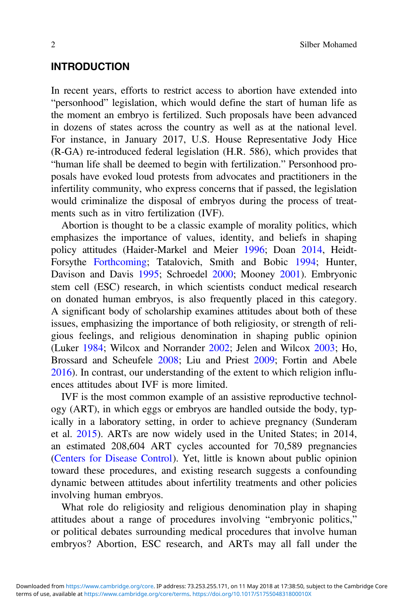2 Silber Mohamed

#### **INTRODUCTION**

In recent years, efforts to restrict access to abortion have extended into "personhood" legislation, which would define the start of human life as the moment an embryo is fertilized. Such proposals have been advanced in dozens of states across the country as well as at the national level. For instance, in January 2017, U.S. House Representative Jody Hice (R-GA) re-introduced federal legislation (H.R. 586), which provides that "human life shall be deemed to begin with fertilization." Personhood proposals have evoked loud protests from advocates and practitioners in the infertility community, who express concerns that if passed, the legislation would criminalize the disposal of embryos during the process of treatments such as in vitro fertilization (IVF).

Abortion is thought to be a classic example of morality politics, which emphasizes the importance of values, identity, and beliefs in shaping policy attitudes (Haider-Markel and Meier [1996](#page-26-0); Doan [2014](#page-25-0), Heidt-Forsythe [Forthcoming](#page-26-0); Tatalovich, Smith and Bobic [1994](#page-29-0); Hunter, Davison and Davis [1995](#page-26-0); Schroedel [2000;](#page-28-0) Mooney [2001](#page-27-0)). Embryonic stem cell (ESC) research, in which scientists conduct medical research on donated human embryos, is also frequently placed in this category. A significant body of scholarship examines attitudes about both of these issues, emphasizing the importance of both religiosity, or strength of religious feelings, and religious denomination in shaping public opinion (Luker [1984](#page-27-0); Wilcox and Norrander [2002](#page-29-0); Jelen and Wilcox [2003;](#page-27-0) Ho, Brossard and Scheufele [2008](#page-26-0); Liu and Priest [2009;](#page-27-0) Fortin and Abele [2016](#page-26-0)). In contrast, our understanding of the extent to which religion influences attitudes about IVF is more limited.

IVF is the most common example of an assistive reproductive technology (ART), in which eggs or embryos are handled outside the body, typically in a laboratory setting, in order to achieve pregnancy (Sunderam et al. [2015](#page-28-0)). ARTs are now widely used in the United States; in 2014, an estimated 208,604 ART cycles accounted for 70,589 pregnancies ([Centers for Disease Control](#page-25-0)). Yet, little is known about public opinion toward these procedures, and existing research suggests a confounding dynamic between attitudes about infertility treatments and other policies involving human embryos.

What role do religiosity and religious denomination play in shaping attitudes about a range of procedures involving "embryonic politics," or political debates surrounding medical procedures that involve human embryos? Abortion, ESC research, and ARTs may all fall under the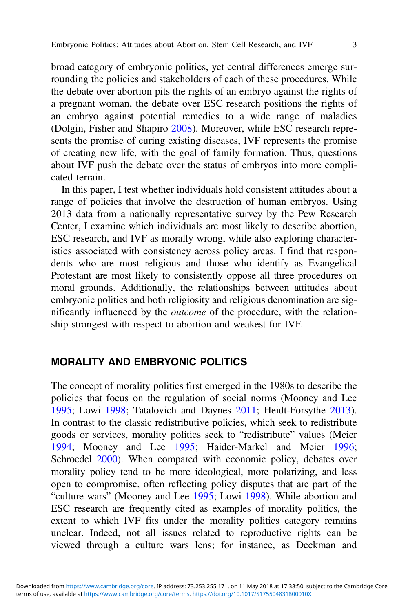broad category of embryonic politics, yet central differences emerge surrounding the policies and stakeholders of each of these procedures. While the debate over abortion pits the rights of an embryo against the rights of a pregnant woman, the debate over ESC research positions the rights of an embryo against potential remedies to a wide range of maladies (Dolgin, Fisher and Shapiro [2008\)](#page-25-0). Moreover, while ESC research represents the promise of curing existing diseases, IVF represents the promise of creating new life, with the goal of family formation. Thus, questions about IVF push the debate over the status of embryos into more complicated terrain.

In this paper, I test whether individuals hold consistent attitudes about a range of policies that involve the destruction of human embryos. Using 2013 data from a nationally representative survey by the Pew Research Center, I examine which individuals are most likely to describe abortion, ESC research, and IVF as morally wrong, while also exploring characteristics associated with consistency across policy areas. I find that respondents who are most religious and those who identify as Evangelical Protestant are most likely to consistently oppose all three procedures on moral grounds. Additionally, the relationships between attitudes about embryonic politics and both religiosity and religious denomination are significantly influenced by the outcome of the procedure, with the relationship strongest with respect to abortion and weakest for IVF.

### MORALITY AND EMBRYONIC POLITICS

The concept of morality politics first emerged in the 1980s to describe the policies that focus on the regulation of social norms (Mooney and Lee [1995](#page-27-0); Lowi [1998](#page-27-0); Tatalovich and Daynes [2011;](#page-29-0) Heidt-Forsythe [2013\)](#page-26-0). In contrast to the classic redistributive policies, which seek to redistribute goods or services, morality politics seek to "redistribute" values (Meier [1994](#page-27-0); Mooney and Lee [1995;](#page-27-0) Haider-Markel and Meier [1996](#page-26-0); Schroedel [2000](#page-28-0)). When compared with economic policy, debates over morality policy tend to be more ideological, more polarizing, and less open to compromise, often reflecting policy disputes that are part of the "culture wars" (Mooney and Lee [1995](#page-27-0); Lowi [1998\)](#page-27-0). While abortion and ESC research are frequently cited as examples of morality politics, the extent to which IVF fits under the morality politics category remains unclear. Indeed, not all issues related to reproductive rights can be viewed through a culture wars lens; for instance, as Deckman and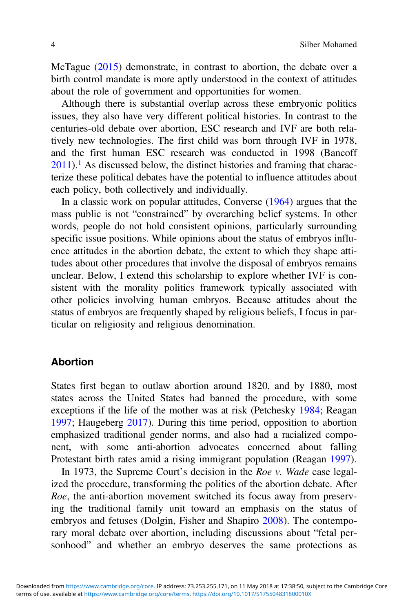4 Silber Mohamed

McTague [\(2015](#page-25-0)) demonstrate, in contrast to abortion, the debate over a birth control mandate is more aptly understood in the context of attitudes about the role of government and opportunities for women.

Although there is substantial overlap across these embryonic politics issues, they also have very different political histories. In contrast to the centuries-old debate over abortion, ESC research and IVF are both relatively new technologies. The first child was born through IVF in 1978, and the first human ESC research was conducted in 1998 (Bancoff  $2011$ ).<sup>1</sup> As discussed below, the distinct histories and framing that characterize these political debates have the potential to influence attitudes about each policy, both collectively and individually.

In a classic work on popular attitudes, Converse ([1964\)](#page-25-0) argues that the mass public is not "constrained" by overarching belief systems. In other words, people do not hold consistent opinions, particularly surrounding specific issue positions. While opinions about the status of embryos influence attitudes in the abortion debate, the extent to which they shape attitudes about other procedures that involve the disposal of embryos remains unclear. Below, I extend this scholarship to explore whether IVF is consistent with the morality politics framework typically associated with other policies involving human embryos. Because attitudes about the status of embryos are frequently shaped by religious beliefs, I focus in particular on religiosity and religious denomination.

### Abortion

States first began to outlaw abortion around 1820, and by 1880, most states across the United States had banned the procedure, with some exceptions if the life of the mother was at risk (Petchesky [1984;](#page-28-0) Reagan [1997](#page-28-0); Haugeberg [2017\)](#page-26-0). During this time period, opposition to abortion emphasized traditional gender norms, and also had a racialized component, with some anti-abortion advocates concerned about falling Protestant birth rates amid a rising immigrant population (Reagan [1997](#page-28-0)).

In 1973, the Supreme Court's decision in the Roe v. Wade case legalized the procedure, transforming the politics of the abortion debate. After Roe, the anti-abortion movement switched its focus away from preserving the traditional family unit toward an emphasis on the status of embryos and fetuses (Dolgin, Fisher and Shapiro [2008](#page-25-0)). The contemporary moral debate over abortion, including discussions about "fetal personhood" and whether an embryo deserves the same protections as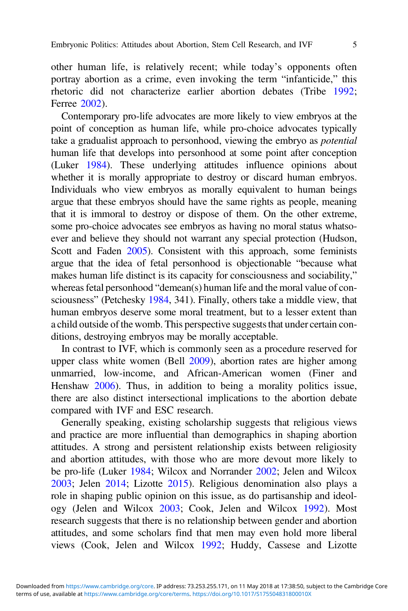other human life, is relatively recent; while today's opponents often portray abortion as a crime, even invoking the term "infanticide," this rhetoric did not characterize earlier abortion debates (Tribe [1992](#page-29-0); Ferree [2002\)](#page-26-0).

Contemporary pro-life advocates are more likely to view embryos at the point of conception as human life, while pro-choice advocates typically take a gradualist approach to personhood, viewing the embryo as potential human life that develops into personhood at some point after conception (Luker [1984\)](#page-27-0). These underlying attitudes influence opinions about whether it is morally appropriate to destroy or discard human embryos. Individuals who view embryos as morally equivalent to human beings argue that these embryos should have the same rights as people, meaning that it is immoral to destroy or dispose of them. On the other extreme, some pro-choice advocates see embryos as having no moral status whatsoever and believe they should not warrant any special protection (Hudson, Scott and Faden [2005\)](#page-26-0). Consistent with this approach, some feminists argue that the idea of fetal personhood is objectionable "because what makes human life distinct is its capacity for consciousness and sociability," whereas fetal personhood "demean(s) human life and the moral value of consciousness" (Petchesky [1984,](#page-28-0) 341). Finally, others take a middle view, that human embryos deserve some moral treatment, but to a lesser extent than a child outside of the womb. This perspective suggests that under certain conditions, destroying embryos may be morally acceptable.

In contrast to IVF, which is commonly seen as a procedure reserved for upper class white women (Bell [2009](#page-25-0)), abortion rates are higher among unmarried, low-income, and African-American women (Finer and Henshaw [2006](#page-26-0)). Thus, in addition to being a morality politics issue, there are also distinct intersectional implications to the abortion debate compared with IVF and ESC research.

Generally speaking, existing scholarship suggests that religious views and practice are more influential than demographics in shaping abortion attitudes. A strong and persistent relationship exists between religiosity and abortion attitudes, with those who are more devout more likely to be pro-life (Luker [1984;](#page-27-0) Wilcox and Norrander [2002;](#page-29-0) Jelen and Wilcox [2003](#page-27-0); Jelen [2014;](#page-27-0) Lizotte [2015\)](#page-27-0). Religious denomination also plays a role in shaping public opinion on this issue, as do partisanship and ideology (Jelen and Wilcox [2003;](#page-27-0) Cook, Jelen and Wilcox [1992](#page-25-0)). Most research suggests that there is no relationship between gender and abortion attitudes, and some scholars find that men may even hold more liberal views (Cook, Jelen and Wilcox [1992;](#page-25-0) Huddy, Cassese and Lizotte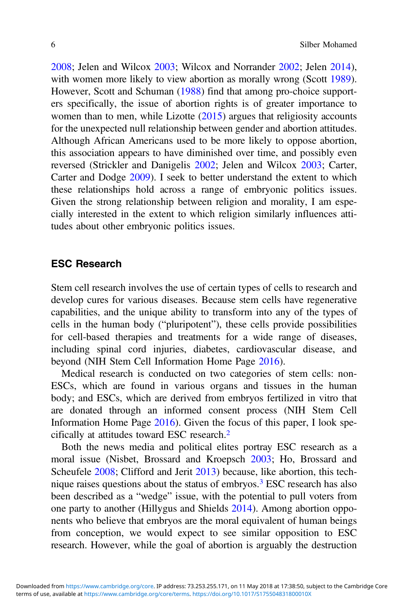[2008](#page-26-0); Jelen and Wilcox [2003](#page-27-0); Wilcox and Norrander [2002](#page-29-0); Jelen [2014\)](#page-27-0), with women more likely to view abortion as morally wrong (Scott [1989\)](#page-28-0). However, Scott and Schuman ([1988\)](#page-28-0) find that among pro-choice supporters specifically, the issue of abortion rights is of greater importance to women than to men, while Lizotte [\(2015](#page-27-0)) argues that religiosity accounts for the unexpected null relationship between gender and abortion attitudes. Although African Americans used to be more likely to oppose abortion, this association appears to have diminished over time, and possibly even reversed (Strickler and Danigelis [2002](#page-28-0); Jelen and Wilcox [2003;](#page-27-0) Carter, Carter and Dodge [2009](#page-25-0)). I seek to better understand the extent to which these relationships hold across a range of embryonic politics issues. Given the strong relationship between religion and morality, I am especially interested in the extent to which religion similarly influences attitudes about other embryonic politics issues.

### ESC Research

Stem cell research involves the use of certain types of cells to research and develop cures for various diseases. Because stem cells have regenerative capabilities, and the unique ability to transform into any of the types of cells in the human body ("pluripotent"), these cells provide possibilities for cell-based therapies and treatments for a wide range of diseases, including spinal cord injuries, diabetes, cardiovascular disease, and beyond (NIH Stem Cell Information Home Page [2016\)](#page-28-0).

Medical research is conducted on two categories of stem cells: non-ESCs, which are found in various organs and tissues in the human body; and ESCs, which are derived from embryos fertilized in vitro that are donated through an informed consent process (NIH Stem Cell Information Home Page [2016](#page-28-0)). Given the focus of this paper, I look specifically at attitudes toward ESC research.[2](#page-24-0)

Both the news media and political elites portray ESC research as a moral issue (Nisbet, Brossard and Kroepsch [2003;](#page-28-0) Ho, Brossard and Scheufele [2008](#page-26-0); Clifford and Jerit [2013](#page-25-0)) because, like abortion, this technique raises questions about the status of embryos.[3](#page-24-0) ESC research has also been described as a "wedge" issue, with the potential to pull voters from one party to another (Hillygus and Shields [2014](#page-26-0)). Among abortion opponents who believe that embryos are the moral equivalent of human beings from conception, we would expect to see similar opposition to ESC research. However, while the goal of abortion is arguably the destruction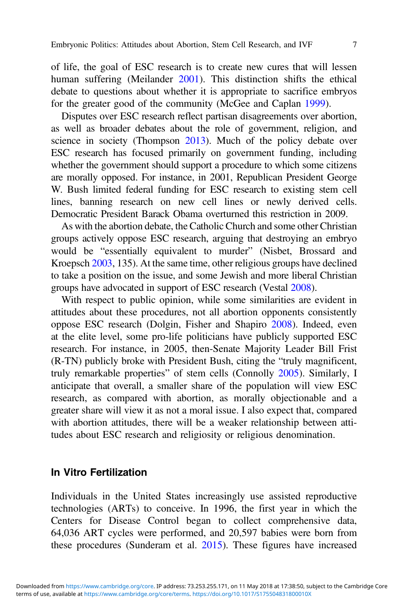of life, the goal of ESC research is to create new cures that will lessen human suffering (Meilander [2001](#page-27-0)). This distinction shifts the ethical debate to questions about whether it is appropriate to sacrifice embryos for the greater good of the community (McGee and Caplan [1999\)](#page-27-0).

Disputes over ESC research reflect partisan disagreements over abortion, as well as broader debates about the role of government, religion, and science in society (Thompson [2013\)](#page-29-0). Much of the policy debate over ESC research has focused primarily on government funding, including whether the government should support a procedure to which some citizens are morally opposed. For instance, in 2001, Republican President George W. Bush limited federal funding for ESC research to existing stem cell lines, banning research on new cell lines or newly derived cells. Democratic President Barack Obama overturned this restriction in 2009.

As with the abortion debate, the Catholic Church and some other Christian groups actively oppose ESC research, arguing that destroying an embryo would be "essentially equivalent to murder" (Nisbet, Brossard and Kroepsch [2003,](#page-28-0) 135). At the same time, other religious groups have declined to take a position on the issue, and some Jewish and more liberal Christian groups have advocated in support of ESC research (Vestal [2008\)](#page-29-0).

With respect to public opinion, while some similarities are evident in attitudes about these procedures, not all abortion opponents consistently oppose ESC research (Dolgin, Fisher and Shapiro [2008](#page-25-0)). Indeed, even at the elite level, some pro-life politicians have publicly supported ESC research. For instance, in 2005, then-Senate Majority Leader Bill Frist (R-TN) publicly broke with President Bush, citing the "truly magnificent, truly remarkable properties" of stem cells (Connolly [2005\)](#page-25-0). Similarly, I anticipate that overall, a smaller share of the population will view ESC research, as compared with abortion, as morally objectionable and a greater share will view it as not a moral issue. I also expect that, compared with abortion attitudes, there will be a weaker relationship between attitudes about ESC research and religiosity or religious denomination.

### In Vitro Fertilization

Individuals in the United States increasingly use assisted reproductive technologies (ARTs) to conceive. In 1996, the first year in which the Centers for Disease Control began to collect comprehensive data, 64,036 ART cycles were performed, and 20,597 babies were born from these procedures (Sunderam et al. [2015\)](#page-28-0). These figures have increased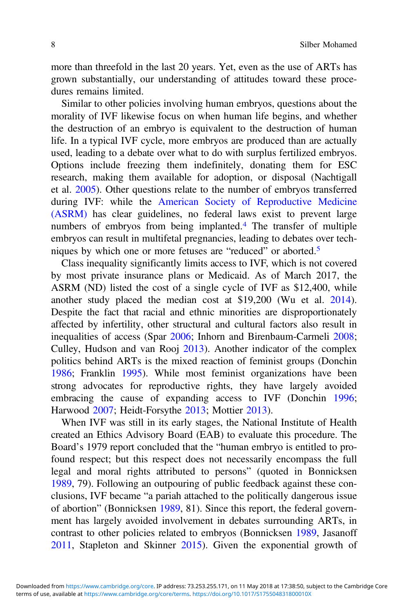more than threefold in the last 20 years. Yet, even as the use of ARTs has grown substantially, our understanding of attitudes toward these procedures remains limited.

Similar to other policies involving human embryos, questions about the morality of IVF likewise focus on when human life begins, and whether the destruction of an embryo is equivalent to the destruction of human life. In a typical IVF cycle, more embryos are produced than are actually used, leading to a debate over what to do with surplus fertilized embryos. Options include freezing them indefinitely, donating them for ESC research, making them available for adoption, or disposal (Nachtigall et al. [2005\)](#page-27-0). Other questions relate to the number of embryos transferred during IVF: while the [American Society of Reproductive Medicine](#page-25-0) [\(ASRM\)](#page-25-0) has clear guidelines, no federal laws exist to prevent large numbers of embryos from being implanted.<sup>[4](#page-24-0)</sup> The transfer of multiple embryos can result in multifetal pregnancies, leading to debates over techniques by which one or more fetuses are "reduced" or aborted.[5](#page-24-0)

Class inequality significantly limits access to IVF, which is not covered by most private insurance plans or Medicaid. As of March 2017, the ASRM (ND) listed the cost of a single cycle of IVF as \$12,400, while another study placed the median cost at \$19,200 (Wu et al. [2014\)](#page-29-0). Despite the fact that racial and ethnic minorities are disproportionately affected by infertility, other structural and cultural factors also result in inequalities of access (Spar [2006](#page-28-0); Inhorn and Birenbaum-Carmeli [2008](#page-26-0); Culley, Hudson and van Rooj [2013](#page-25-0)). Another indicator of the complex politics behind ARTs is the mixed reaction of feminist groups (Donchin [1986](#page-25-0); Franklin [1995\)](#page-26-0). While most feminist organizations have been strong advocates for reproductive rights, they have largely avoided embracing the cause of expanding access to IVF (Donchin [1996](#page-26-0); Harwood [2007](#page-26-0); Heidt-Forsythe [2013](#page-26-0); Mottier [2013\)](#page-27-0).

When IVF was still in its early stages, the National Institute of Health created an Ethics Advisory Board (EAB) to evaluate this procedure. The Board's 1979 report concluded that the "human embryo is entitled to profound respect; but this respect does not necessarily encompass the full legal and moral rights attributed to persons" (quoted in Bonnicksen [1989](#page-25-0), 79). Following an outpouring of public feedback against these conclusions, IVF became "a pariah attached to the politically dangerous issue of abortion" (Bonnicksen [1989,](#page-25-0) 81). Since this report, the federal government has largely avoided involvement in debates surrounding ARTs, in contrast to other policies related to embryos (Bonnicksen [1989](#page-25-0), Jasanoff [2011](#page-27-0), Stapleton and Skinner [2015\)](#page-28-0). Given the exponential growth of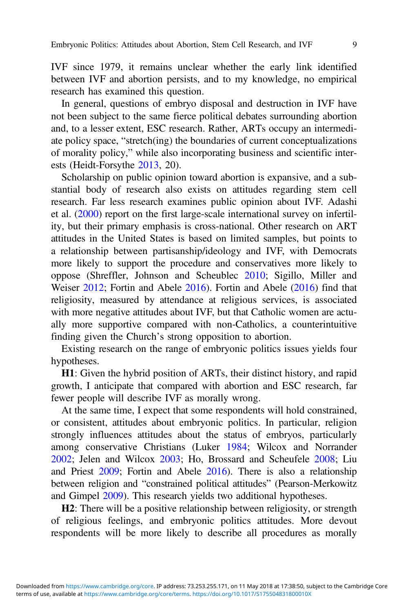IVF since 1979, it remains unclear whether the early link identified between IVF and abortion persists, and to my knowledge, no empirical research has examined this question.

In general, questions of embryo disposal and destruction in IVF have not been subject to the same fierce political debates surrounding abortion and, to a lesser extent, ESC research. Rather, ARTs occupy an intermediate policy space, "stretch(ing) the boundaries of current conceptualizations of morality policy," while also incorporating business and scientific interests (Heidt-Forsythe [2013](#page-26-0), 20).

Scholarship on public opinion toward abortion is expansive, and a substantial body of research also exists on attitudes regarding stem cell research. Far less research examines public opinion about IVF. Adashi et al. [\(2000](#page-25-0)) report on the first large-scale international survey on infertility, but their primary emphasis is cross-national. Other research on ART attitudes in the United States is based on limited samples, but points to a relationship between partisanship/ideology and IVF, with Democrats more likely to support the procedure and conservatives more likely to oppose (Shreffler, Johnson and Scheublec [2010;](#page-28-0) Sigillo, Miller and Weiser [2012](#page-28-0); Fortin and Abele [2016](#page-26-0)). Fortin and Abele [\(2016](#page-26-0)) find that religiosity, measured by attendance at religious services, is associated with more negative attitudes about IVF, but that Catholic women are actually more supportive compared with non-Catholics, a counterintuitive finding given the Church's strong opposition to abortion.

Existing research on the range of embryonic politics issues yields four hypotheses.

H1: Given the hybrid position of ARTs, their distinct history, and rapid growth, I anticipate that compared with abortion and ESC research, far fewer people will describe IVF as morally wrong.

At the same time, I expect that some respondents will hold constrained, or consistent, attitudes about embryonic politics. In particular, religion strongly influences attitudes about the status of embryos, particularly among conservative Christians (Luker [1984;](#page-27-0) Wilcox and Norrander [2002](#page-29-0); Jelen and Wilcox [2003](#page-27-0); Ho, Brossard and Scheufele [2008;](#page-26-0) Liu and Priest [2009](#page-27-0); Fortin and Abele [2016](#page-26-0)). There is also a relationship between religion and "constrained political attitudes" (Pearson-Merkowitz and Gimpel [2009\)](#page-28-0). This research yields two additional hypotheses.

H2: There will be a positive relationship between religiosity, or strength of religious feelings, and embryonic politics attitudes. More devout respondents will be more likely to describe all procedures as morally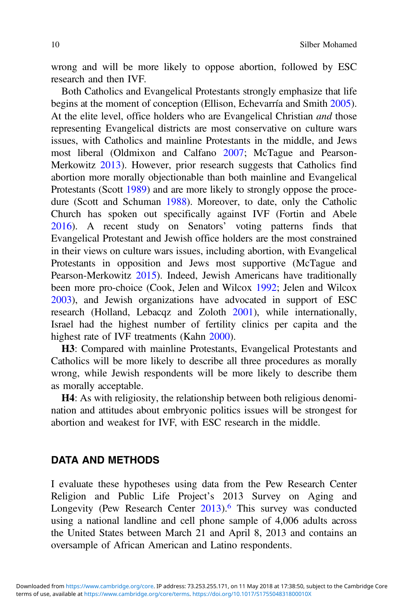wrong and will be more likely to oppose abortion, followed by ESC research and then IVF.

Both Catholics and Evangelical Protestants strongly emphasize that life begins at the moment of conception (Ellison, Echevarría and Smith [2005\)](#page-26-0). At the elite level, office holders who are Evangelical Christian *and* those representing Evangelical districts are most conservative on culture wars issues, with Catholics and mainline Protestants in the middle, and Jews most liberal (Oldmixon and Calfano [2007](#page-28-0); McTague and Pearson-Merkowitz [2013](#page-27-0)). However, prior research suggests that Catholics find abortion more morally objectionable than both mainline and Evangelical Protestants (Scott [1989](#page-28-0)) and are more likely to strongly oppose the procedure (Scott and Schuman [1988\)](#page-28-0). Moreover, to date, only the Catholic Church has spoken out specifically against IVF (Fortin and Abele [2016](#page-26-0)). A recent study on Senators' voting patterns finds that Evangelical Protestant and Jewish office holders are the most constrained in their views on culture wars issues, including abortion, with Evangelical Protestants in opposition and Jews most supportive (McTague and Pearson-Merkowitz [2015\)](#page-27-0). Indeed, Jewish Americans have traditionally been more pro-choice (Cook, Jelen and Wilcox [1992;](#page-25-0) Jelen and Wilcox [2003](#page-27-0)), and Jewish organizations have advocated in support of ESC research (Holland, Lebacqz and Zoloth [2001](#page-26-0)), while internationally, Israel had the highest number of fertility clinics per capita and the highest rate of IVF treatments (Kahn [2000](#page-27-0)).

H3: Compared with mainline Protestants, Evangelical Protestants and Catholics will be more likely to describe all three procedures as morally wrong, while Jewish respondents will be more likely to describe them as morally acceptable.

H4: As with religiosity, the relationship between both religious denomination and attitudes about embryonic politics issues will be strongest for abortion and weakest for IVF, with ESC research in the middle.

### DATA AND METHODS

I evaluate these hypotheses using data from the Pew Research Center Religion and Public Life Project's 2013 Survey on Aging and Longevity (Pew Research Center [2013](#page-28-0)).<sup>[6](#page-24-0)</sup> This survey was conducted using a national landline and cell phone sample of 4,006 adults across the United States between March 21 and April 8, 2013 and contains an oversample of African American and Latino respondents.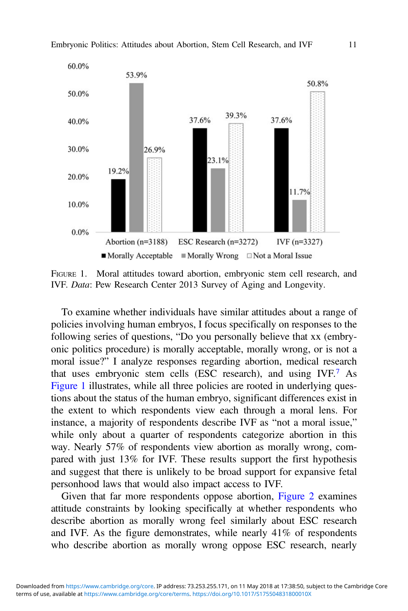

FIGURE 1. Moral attitudes toward abortion, embryonic stem cell research, and IVF. Data: Pew Research Center 2013 Survey of Aging and Longevity.

To examine whether individuals have similar attitudes about a range of policies involving human embryos, I focus specifically on responses to the following series of questions, "Do you personally believe that xx (embryonic politics procedure) is morally acceptable, morally wrong, or is not a moral issue?" I analyze responses regarding abortion, medical research that uses embryonic stem cells (ESC research), and using IVF.[7](#page-24-0) As Figure 1 illustrates, while all three policies are rooted in underlying questions about the status of the human embryo, significant differences exist in the extent to which respondents view each through a moral lens. For instance, a majority of respondents describe IVF as "not a moral issue," while only about a quarter of respondents categorize abortion in this way. Nearly 57% of respondents view abortion as morally wrong, compared with just 13% for IVF. These results support the first hypothesis and suggest that there is unlikely to be broad support for expansive fetal personhood laws that would also impact access to IVF.

Given that far more respondents oppose abortion, [Figure 2](#page-11-0) examines attitude constraints by looking specifically at whether respondents who describe abortion as morally wrong feel similarly about ESC research and IVF. As the figure demonstrates, while nearly 41% of respondents who describe abortion as morally wrong oppose ESC research, nearly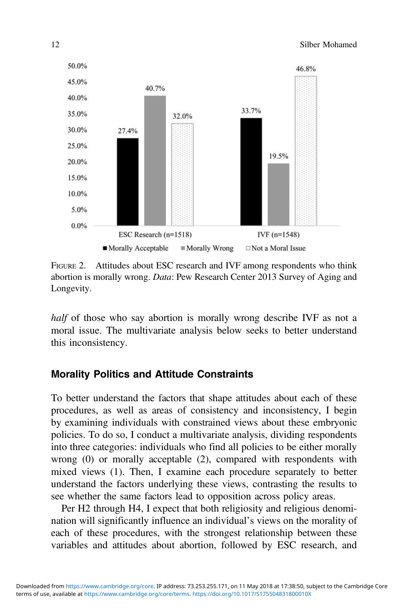<span id="page-11-0"></span>

FIGURE 2. Attitudes about ESC research and IVF among respondents who think abortion is morally wrong. Data: Pew Research Center 2013 Survey of Aging and Longevity.

half of those who say abortion is morally wrong describe IVF as not a moral issue. The multivariate analysis below seeks to better understand this inconsistency.

### Morality Politics and Attitude Constraints

To better understand the factors that shape attitudes about each of these procedures, as well as areas of consistency and inconsistency, I begin by examining individuals with constrained views about these embryonic policies. To do so, I conduct a multivariate analysis, dividing respondents into three categories: individuals who find all policies to be either morally wrong (0) or morally acceptable (2), compared with respondents with mixed views (1). Then, I examine each procedure separately to better understand the factors underlying these views, contrasting the results to see whether the same factors lead to opposition across policy areas.

Per H2 through H4, I expect that both religiosity and religious denomination will significantly influence an individual's views on the morality of each of these procedures, with the strongest relationship between these variables and attitudes about abortion, followed by ESC research, and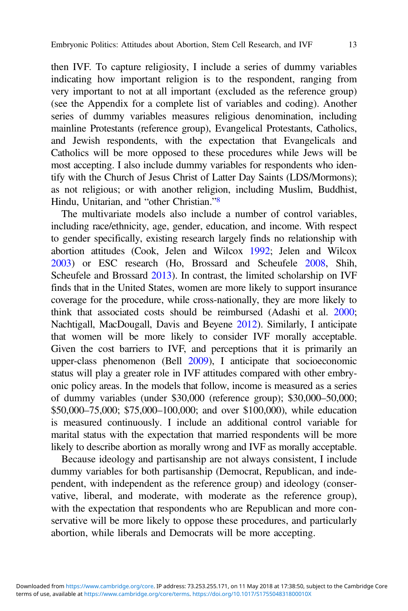then IVF. To capture religiosity, I include a series of dummy variables indicating how important religion is to the respondent, ranging from very important to not at all important (excluded as the reference group) (see the Appendix for a complete list of variables and coding). Another series of dummy variables measures religious denomination, including mainline Protestants (reference group), Evangelical Protestants, Catholics, and Jewish respondents, with the expectation that Evangelicals and Catholics will be more opposed to these procedures while Jews will be most accepting. I also include dummy variables for respondents who identify with the Church of Jesus Christ of Latter Day Saints (LDS/Mormons); as not religious; or with another religion, including Muslim, Buddhist, Hindu, Unitarian, and "other Christian."[8](#page-24-0)

The multivariate models also include a number of control variables, including race/ethnicity, age, gender, education, and income. With respect to gender specifically, existing research largely finds no relationship with abortion attitudes (Cook, Jelen and Wilcox [1992;](#page-25-0) Jelen and Wilcox [2003\)](#page-27-0) or ESC research (Ho, Brossard and Scheufele [2008,](#page-26-0) Shih, Scheufele and Brossard [2013\)](#page-28-0). In contrast, the limited scholarship on IVF finds that in the United States, women are more likely to support insurance coverage for the procedure, while cross-nationally, they are more likely to think that associated costs should be reimbursed (Adashi et al. [2000](#page-25-0); Nachtigall, MacDougall, Davis and Beyene [2012](#page-27-0)). Similarly, I anticipate that women will be more likely to consider IVF morally acceptable. Given the cost barriers to IVF, and perceptions that it is primarily an upper-class phenomenon (Bell [2009\)](#page-25-0), I anticipate that socioeconomic status will play a greater role in IVF attitudes compared with other embryonic policy areas. In the models that follow, income is measured as a series of dummy variables (under \$30,000 (reference group); \$30,000–50,000; \$50,000–75,000; \$75,000–100,000; and over \$100,000), while education is measured continuously. I include an additional control variable for marital status with the expectation that married respondents will be more likely to describe abortion as morally wrong and IVF as morally acceptable.

Because ideology and partisanship are not always consistent, I include dummy variables for both partisanship (Democrat, Republican, and independent, with independent as the reference group) and ideology (conservative, liberal, and moderate, with moderate as the reference group), with the expectation that respondents who are Republican and more conservative will be more likely to oppose these procedures, and particularly abortion, while liberals and Democrats will be more accepting.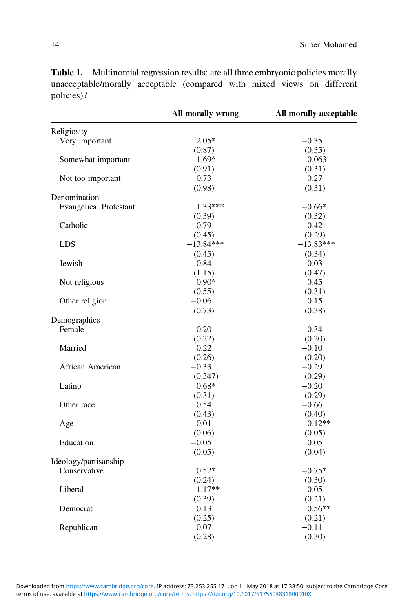|                               | All morally wrong | All morally acceptable |
|-------------------------------|-------------------|------------------------|
| Religiosity                   |                   |                        |
| Very important                | $2.05*$           | $-0.35$                |
|                               | (0.87)            | (0.35)                 |
| Somewhat important            | $1.69^{\circ}$    | $-0.063$               |
|                               | (0.91)            | (0.31)                 |
| Not too important             | 0.73              | 0.27                   |
|                               | (0.98)            | (0.31)                 |
| Denomination                  |                   |                        |
| <b>Evangelical Protestant</b> | $1.33***$         | $-0.66*$               |
|                               | (0.39)            | (0.32)                 |
| Catholic                      | 0.79              | $-0.42$                |
|                               | (0.45)            | (0.29)                 |
| <b>LDS</b>                    | $-13.84***$       | $-13.83***$            |
|                               | (0.45)            | (0.34)                 |
| Jewish                        | 0.84              | $-0.03$                |
|                               | (1.15)            | (0.47)                 |
| Not religious                 | $0.90^{\circ}$    | 0.45                   |
|                               | (0.55)            | (0.31)                 |
| Other religion                | $-0.06$           | 0.15                   |
|                               | (0.73)            | (0.38)                 |
| Demographics                  |                   |                        |
| Female                        | $-0.20$           | $-0.34$                |
|                               | (0.22)            | (0.20)                 |
| Married                       | 0.22              | $-0.10$                |
|                               | (0.26)            | (0.20)                 |
| African American              | $-0.33$           | $-0.29$                |
|                               | (0.347)           | (0.29)                 |
| Latino                        | $0.68*$           | $-0.20$                |
|                               | (0.31)            | (0.29)                 |
| Other race                    | 0.54              | $-0.66$                |
|                               | (0.43)            | (0.40)                 |
| Age                           | 0.01              | $0.12**$               |
|                               | (0.06)            | (0.05)                 |
| Education                     | $-0.05$           | 0.05                   |
|                               | (0.05)            | (0.04)                 |
| Ideology/partisanship         |                   |                        |
| Conservative                  | $0.52*$           | $-0.75*$               |
|                               | (0.24)            | (0.30)                 |
| Liberal                       | $-1.17**$         | 0.05                   |
|                               | (0.39)            | (0.21)                 |
| Democrat                      | 0.13              | $0.56**$               |
|                               | (0.25)            | (0.21)                 |
| Republican                    | 0.07              | $-0.11$                |
|                               | (0.28)            | (0.30)                 |

<span id="page-13-0"></span>Table 1. Multinomial regression results: are all three embryonic policies morally unacceptable/morally acceptable (compared with mixed views on different policies)?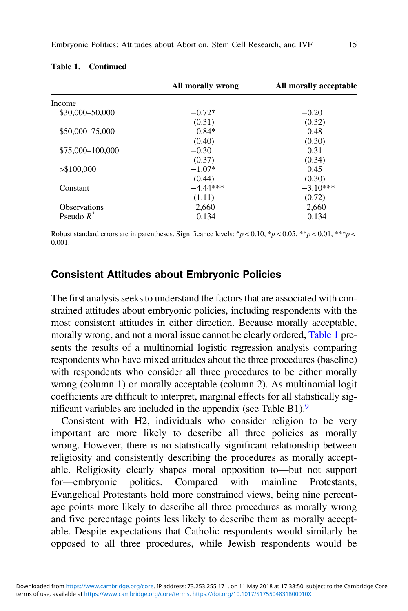|                     | All morally wrong | All morally acceptable |
|---------------------|-------------------|------------------------|
| Income              |                   |                        |
| \$30,000-50,000     | $-0.72*$          | $-0.20$                |
|                     | (0.31)            | (0.32)                 |
| \$50,000-75,000     | $-0.84*$          | 0.48                   |
|                     | (0.40)            | (0.30)                 |
| \$75,000-100,000    | $-0.30$           | 0.31                   |
|                     | (0.37)            | (0.34)                 |
| > \$100,000         | $-1.07*$          | 0.45                   |
|                     | (0.44)            | (0.30)                 |
| Constant            | $-4.44***$        | $-3.10***$             |
|                     | (1.11)            | (0.72)                 |
| <b>Observations</b> | 2,660             | 2,660                  |
| Pseudo $R^2$        | 0.134             | 0.134                  |

| Table 1. | <b>Continued</b> |
|----------|------------------|
|----------|------------------|

Robust standard errors are in parentheses. Significance levels:  $\gamma p < 0.10$ ,  $\gamma p < 0.05$ ,  $\gamma p < 0.01$ ,  $\gamma p < 0.01$ ,  $\gamma p < 0.01$ 0.001.

### Consistent Attitudes about Embryonic Policies

The first analysis seeks to understand the factors that are associated with constrained attitudes about embryonic policies, including respondents with the most consistent attitudes in either direction. Because morally acceptable, morally wrong, and not a moral issue cannot be clearly ordered, [Table 1](#page-13-0) presents the results of a multinomial logistic regression analysis comparing respondents who have mixed attitudes about the three procedures (baseline) with respondents who consider all three procedures to be either morally wrong (column 1) or morally acceptable (column 2). As multinomial logit coefficients are difficult to interpret, marginal effects for all statistically significant variables are included in the appendix (see Table B1)[.9](#page-24-0)

Consistent with H2, individuals who consider religion to be very important are more likely to describe all three policies as morally wrong. However, there is no statistically significant relationship between religiosity and consistently describing the procedures as morally acceptable. Religiosity clearly shapes moral opposition to—but not support for—embryonic politics. Compared with mainline Protestants, Evangelical Protestants hold more constrained views, being nine percentage points more likely to describe all three procedures as morally wrong and five percentage points less likely to describe them as morally acceptable. Despite expectations that Catholic respondents would similarly be opposed to all three procedures, while Jewish respondents would be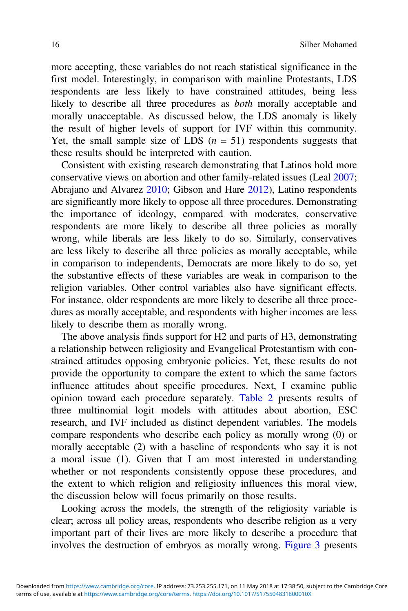more accepting, these variables do not reach statistical significance in the first model. Interestingly, in comparison with mainline Protestants, LDS respondents are less likely to have constrained attitudes, being less likely to describe all three procedures as both morally acceptable and morally unacceptable. As discussed below, the LDS anomaly is likely the result of higher levels of support for IVF within this community. Yet, the small sample size of LDS  $(n = 51)$  respondents suggests that these results should be interpreted with caution.

Consistent with existing research demonstrating that Latinos hold more conservative views on abortion and other family-related issues (Leal [2007](#page-27-0); Abrajano and Alvarez [2010;](#page-25-0) Gibson and Hare [2012](#page-26-0)), Latino respondents are significantly more likely to oppose all three procedures. Demonstrating the importance of ideology, compared with moderates, conservative respondents are more likely to describe all three policies as morally wrong, while liberals are less likely to do so. Similarly, conservatives are less likely to describe all three policies as morally acceptable, while in comparison to independents, Democrats are more likely to do so, yet the substantive effects of these variables are weak in comparison to the religion variables. Other control variables also have significant effects. For instance, older respondents are more likely to describe all three procedures as morally acceptable, and respondents with higher incomes are less likely to describe them as morally wrong.

The above analysis finds support for H2 and parts of H3, demonstrating a relationship between religiosity and Evangelical Protestantism with constrained attitudes opposing embryonic policies. Yet, these results do not provide the opportunity to compare the extent to which the same factors influence attitudes about specific procedures. Next, I examine public opinion toward each procedure separately. [Table 2](#page-16-0) presents results of three multinomial logit models with attitudes about abortion, ESC research, and IVF included as distinct dependent variables. The models compare respondents who describe each policy as morally wrong (0) or morally acceptable (2) with a baseline of respondents who say it is not a moral issue (1). Given that I am most interested in understanding whether or not respondents consistently oppose these procedures, and the extent to which religion and religiosity influences this moral view, the discussion below will focus primarily on those results.

Looking across the models, the strength of the religiosity variable is clear; across all policy areas, respondents who describe religion as a very important part of their lives are more likely to describe a procedure that involves the destruction of embryos as morally wrong. [Figure 3](#page-19-0) presents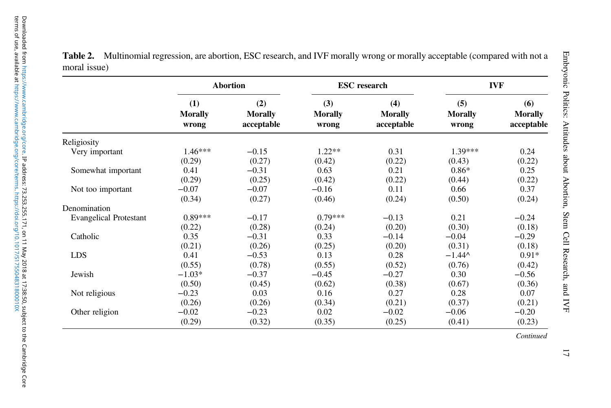|                               | <b>Abortion</b>    |                   |                   | <b>ESC</b> research | <b>IVF</b>     |                          |
|-------------------------------|--------------------|-------------------|-------------------|---------------------|----------------|--------------------------|
|                               | (1)                | (2)               | (3)               | (4)                 | (5)            | (6)                      |
|                               | <b>Morally</b>     | <b>Morally</b>    | <b>Morally</b>    | <b>Morally</b>      | <b>Morally</b> | <b>Morally</b>           |
|                               | wrong              | acceptable        | wrong             | acceptable          | wrong          | acceptable               |
| Religiosity                   |                    |                   |                   |                     |                |                          |
| Very important                | $1.46***$          | $-0.15$           | $1.22**$          | 0.31                | $1.39***$      | 0.24                     |
|                               | (0.29)             | (0.27)            | (0.42)            | (0.22)              | (0.43)         | (0.22)                   |
| Somewhat important            | 0.41               | $-0.31$           | 0.63              | 0.21                | $0.86*$        | 0.25                     |
|                               | (0.29)             | (0.25)            | (0.42)            | (0.22)              | (0.44)         | (0.22)                   |
| Not too important             | $-0.07$            | $-0.07$           | $-0.16$           | 0.11                | 0.66           | 0.37                     |
|                               | (0.34)             | (0.27)            | (0.46)            | (0.24)              | (0.50)         | (0.24)                   |
| Denomination                  |                    |                   |                   |                     |                |                          |
| <b>Evangelical Protestant</b> | $0.89***$          | $-0.17$           | $0.79***$         | $-0.13$             | 0.21           | $-0.24$                  |
|                               | (0.22)             | (0.28)            | (0.24)            | (0.20)              | (0.30)         | (0.18)                   |
| Catholic                      | 0.35               | $-0.31$           | 0.33              | $-0.14$             | $-0.04$        | $-0.29$                  |
|                               | (0.21)             | (0.26)            | (0.25)            | (0.20)              | (0.31)         | (0.18)                   |
| <b>LDS</b>                    | 0.41               | $-0.53$           | 0.13              | 0.28                | $-1.44^$       | $0.91*$                  |
|                               | (0.55)             | (0.78)            | (0.55)            | (0.52)              | (0.76)         | (0.42)                   |
| Jewish                        | $-1.03*$<br>(0.50) | $-0.37$<br>(0.45) | $-0.45$<br>(0.62) | $-0.27$<br>(0.38)   | 0.30<br>(0.67) | $-0.56$                  |
| Not religious                 | $-0.23$<br>(0.26)  | 0.03<br>(0.26)    | 0.16<br>(0.34)    | 0.27<br>(0.21)      | 0.28<br>(0.37) | (0.36)<br>0.07<br>(0.21) |
| Other religion                | $-0.02$            | $-0.23$           | 0.02              | $-0.02$             | $-0.06$        | $-0.20$                  |
|                               | (0.29)             | (0.32)            | (0.35)            | (0.25)              | (0.41)         | (0.23)                   |

<span id="page-16-0"></span>Table 2. Multinomial regression, are abortion, ESC research, and IVF morally wrong or morally acceptable (compared with not a moral issue)

Continued

Embryonic Politics: Attitudes about Abortion, Stem Cell Research, and IVF 17  $\overline{L}$ 

Embryonic Politics: Attitudes about Abortion, Stem Cell Research, and IVF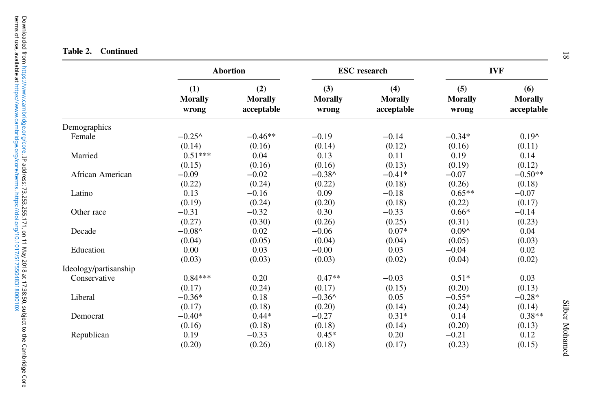#### Table 2. Continued

|                       | <b>Abortion</b>          |                          |                   | <b>ESC</b> research      |                             | <b>IVF</b>        |  |
|-----------------------|--------------------------|--------------------------|-------------------|--------------------------|-----------------------------|-------------------|--|
|                       | (1)                      | (2)                      | (3)               | (4)                      | (5)                         | (6)               |  |
|                       | <b>Morally</b>           | <b>Morally</b>           | <b>Morally</b>    | <b>Morally</b>           | <b>Morally</b>              | <b>Morally</b>    |  |
|                       | wrong                    | acceptable               | wrong             | acceptable               | wrong                       | acceptable        |  |
| Demographics          |                          |                          |                   |                          |                             |                   |  |
| Female                | $-0.25^{\circ}$          | $-0.46**$                | $-0.19$           | $-0.14$                  | $-0.34*$                    | $0.19^$           |  |
|                       | (0.14)                   | (0.16)                   | (0.14)            | (0.12)                   | (0.16)                      | (0.11)            |  |
| Married               | $0.51***$                | 0.04                     | 0.13              | 0.11                     | 0.19                        | 0.14              |  |
|                       | (0.15)                   | (0.16)                   | (0.16)            | (0.13)                   | (0.19)                      | (0.12)            |  |
| African American      | $-0.09$                  | $-0.02$                  | $-0.38^$          | $-0.41*$                 | $-0.07$                     | $-0.50**$         |  |
|                       | (0.22)                   | (0.24)                   | (0.22)            | (0.18)                   | (0.26)                      | (0.18)            |  |
| Latino                | 0.13                     | $-0.16$                  | 0.09              | $-0.18$                  | $0.65**$                    | $-0.07$           |  |
|                       | (0.19)                   | (0.24)                   | (0.20)            | (0.18)                   | (0.22)                      | (0.17)            |  |
| Other race            | $-0.31$<br>(0.27)        | $-0.32$                  | 0.30<br>(0.26)    | $-0.33$<br>(0.25)        | $0.66*$<br>(0.31)           | $-0.14$<br>(0.23) |  |
| Decade                | $-0.08^$                 | (0.30)<br>0.02           | $-0.06$<br>(0.04) | $0.07*$                  | $0.09^$                     | 0.04              |  |
| Education             | (0.04)<br>0.00<br>(0.03) | (0.05)<br>0.03<br>(0.03) | $-0.00$<br>(0.03) | (0.04)<br>0.03<br>(0.02) | (0.05)<br>$-0.04$<br>(0.04) | (0.03)<br>0.02    |  |
| Ideology/partisanship |                          |                          |                   |                          |                             | (0.02)            |  |
| Conservative          | $0.84***$                | 0.20                     | $0.47**$          | $-0.03$                  | $0.51*$                     | 0.03              |  |
|                       | (0.17)                   | (0.24)                   | (0.17)            | (0.15)                   | (0.20)                      | (0.13)            |  |
| Liberal               | $-0.36*$                 | 0.18                     | $-0.36^$          | 0.05                     | $-0.55*$                    | $-0.28*$          |  |
|                       | (0.17)                   | (0.18)                   | (0.20)            | (0.14)                   | (0.24)                      | (0.14)            |  |
| Democrat              | $-0.40*$                 | $0.44*$                  | $-0.27$           | $0.31*$                  | 0.14                        | $0.38**$          |  |
|                       | (0.16)                   | (0.18)                   | (0.18)            | (0.14)                   | (0.20)                      | (0.13)            |  |
| Republican            | 0.19                     | $-0.33$                  | $0.45*$           | 0.20                     | $-0.21$                     | 0.12              |  |
|                       | (0.20)                   | (0.26)                   | (0.18)            | (0.17)                   | (0.23)                      | (0.15)            |  |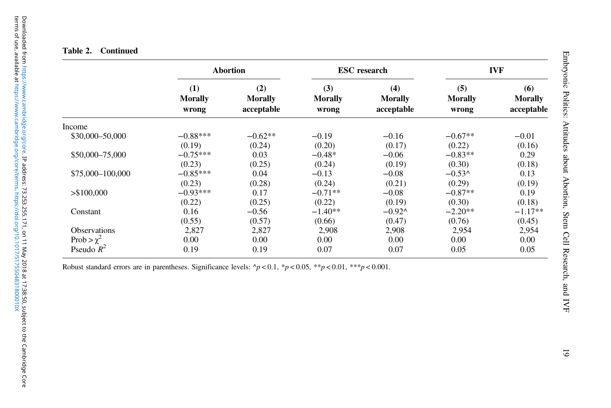#### Table 2. Continued

|                     | <b>Abortion</b>                     |                                     |                                | <b>ESC</b> research                 | <b>IVF</b>                     |                                     |
|---------------------|-------------------------------------|-------------------------------------|--------------------------------|-------------------------------------|--------------------------------|-------------------------------------|
|                     | $\bf(1)$<br><b>Morally</b><br>wrong | (2)<br><b>Morally</b><br>acceptable | (3)<br><b>Morally</b><br>wrong | (4)<br><b>Morally</b><br>acceptable | (5)<br><b>Morally</b><br>wrong | (6)<br><b>Morally</b><br>acceptable |
| Income              |                                     |                                     |                                |                                     |                                |                                     |
| \$30,000-50,000     | $-0.88***$                          | $-0.62**$                           | $-0.19$                        | $-0.16$                             | $-0.67**$                      | $-0.01$                             |
|                     | (0.19)                              | (0.24)                              | (0.20)                         | (0.17)                              | (0.22)                         | (0.16)                              |
| \$50,000-75,000     | $-0.75***$                          | 0.03                                | $-0.48*$                       | $-0.06$                             | $-0.83**$                      | 0.29                                |
|                     | (0.23)                              | (0.25)                              | (0.24)                         | (0.19)                              | (0.30)                         | (0.18)                              |
| \$75,000-100,000    | $-0.85***$                          | 0.04                                | $-0.13$                        | $-0.08$                             | $-0.53^$                       | 0.13                                |
|                     | (0.23)                              | (0.28)                              | (0.24)                         | (0.21)                              | (0.29)                         | (0.19)                              |
| > \$100,000         | $-0.93***$                          | 0.17                                | $-0.71**$                      | $-0.08$                             | $-0.87**$                      | 0.19                                |
|                     | (0.22)                              | (0.25)                              | (0.22)                         | (0.19)                              | (0.30)                         | (0.18)                              |
| Constant            | 0.16                                | $-0.56$                             | $-1.40**$                      | $-0.92^$                            | $-2.20**$                      | $-1.17**$                           |
|                     | (0.55)                              | (0.57)                              | (0.66)                         | (0.47)                              | (0.76)                         | (0.45)                              |
| <b>Observations</b> | 2,827                               | 2,827                               | 2,908                          | 2,908                               | 2,954                          | 2,954                               |
| Prob $>\chi^2$      | 0.00                                | 0.00                                | 0.00                           | 0.00                                | 0.00                           | 0.00                                |
| Pseudo $R^2$        | 0.19                                | 0.19                                | 0.07                           | 0.07                                | 0.05                           | 0.05                                |

Robust standard errors are in parentheses. Significance levels:  $\gamma p < 0.1$ ,  $\gamma p < 0.05$ ,  $\gamma p < 0.01$ ,  $\gamma p < 0.001$ .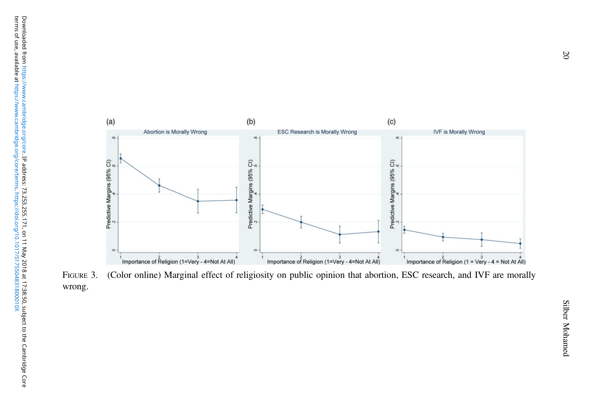<span id="page-19-0"></span>

FIGURE 3. 3. (Color online) Marginal effect of religiosity on public opinion that abortion, ESC research, and IVF are morally wrong.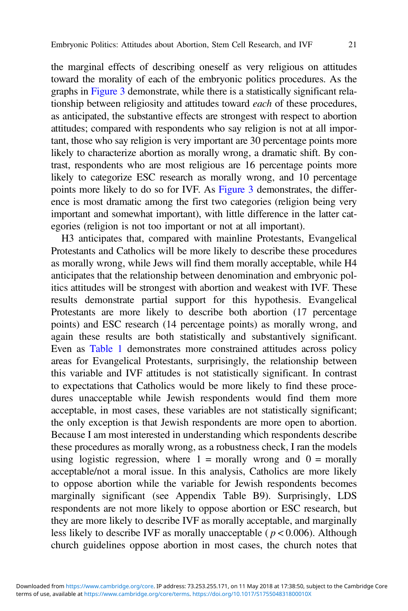the marginal effects of describing oneself as very religious on attitudes toward the morality of each of the embryonic politics procedures. As the graphs in [Figure 3](#page-19-0) demonstrate, while there is a statistically significant relationship between religiosity and attitudes toward each of these procedures, as anticipated, the substantive effects are strongest with respect to abortion attitudes; compared with respondents who say religion is not at all important, those who say religion is very important are 30 percentage points more likely to characterize abortion as morally wrong, a dramatic shift. By contrast, respondents who are most religious are 16 percentage points more likely to categorize ESC research as morally wrong, and 10 percentage points more likely to do so for IVF. As [Figure 3](#page-19-0) demonstrates, the difference is most dramatic among the first two categories (religion being very important and somewhat important), with little difference in the latter categories (religion is not too important or not at all important).

H3 anticipates that, compared with mainline Protestants, Evangelical Protestants and Catholics will be more likely to describe these procedures as morally wrong, while Jews will find them morally acceptable, while H4 anticipates that the relationship between denomination and embryonic politics attitudes will be strongest with abortion and weakest with IVF. These results demonstrate partial support for this hypothesis. Evangelical Protestants are more likely to describe both abortion (17 percentage points) and ESC research (14 percentage points) as morally wrong, and again these results are both statistically and substantively significant. Even as [Table 1](#page-13-0) demonstrates more constrained attitudes across policy areas for Evangelical Protestants, surprisingly, the relationship between this variable and IVF attitudes is not statistically significant. In contrast to expectations that Catholics would be more likely to find these procedures unacceptable while Jewish respondents would find them more acceptable, in most cases, these variables are not statistically significant; the only exception is that Jewish respondents are more open to abortion. Because I am most interested in understanding which respondents describe these procedures as morally wrong, as a robustness check, I ran the models using logistic regression, where  $1 =$  morally wrong and  $0 =$  morally acceptable/not a moral issue. In this analysis, Catholics are more likely to oppose abortion while the variable for Jewish respondents becomes marginally significant (see Appendix Table B9). Surprisingly, LDS respondents are not more likely to oppose abortion or ESC research, but they are more likely to describe IVF as morally acceptable, and marginally less likely to describe IVF as morally unacceptable ( $p < 0.006$ ). Although church guidelines oppose abortion in most cases, the church notes that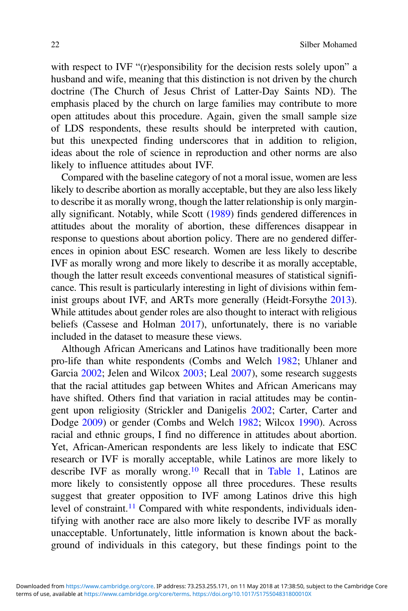with respect to IVF "(r)esponsibility for the decision rests solely upon" a husband and wife, meaning that this distinction is not driven by the church doctrine (The Church of Jesus Christ of Latter-Day Saints ND). The emphasis placed by the church on large families may contribute to more open attitudes about this procedure. Again, given the small sample size of LDS respondents, these results should be interpreted with caution, but this unexpected finding underscores that in addition to religion, ideas about the role of science in reproduction and other norms are also likely to influence attitudes about IVF.

Compared with the baseline category of not a moral issue, women are less likely to describe abortion as morally acceptable, but they are also less likely to describe it as morally wrong, though the latter relationship is only marginally significant. Notably, while Scott [\(1989](#page-28-0)) finds gendered differences in attitudes about the morality of abortion, these differences disappear in response to questions about abortion policy. There are no gendered differences in opinion about ESC research. Women are less likely to describe IVF as morally wrong and more likely to describe it as morally acceptable, though the latter result exceeds conventional measures of statistical significance. This result is particularly interesting in light of divisions within feminist groups about IVF, and ARTs more generally (Heidt-Forsythe [2013\)](#page-26-0). While attitudes about gender roles are also thought to interact with religious beliefs (Cassese and Holman [2017\)](#page-25-0), unfortunately, there is no variable included in the dataset to measure these views.

Although African Americans and Latinos have traditionally been more pro-life than white respondents (Combs and Welch [1982;](#page-25-0) Uhlaner and Garcia [2002;](#page-29-0) Jelen and Wilcox [2003;](#page-27-0) Leal [2007\)](#page-27-0), some research suggests that the racial attitudes gap between Whites and African Americans may have shifted. Others find that variation in racial attitudes may be contingent upon religiosity (Strickler and Danigelis [2002;](#page-28-0) Carter, Carter and Dodge [2009\)](#page-25-0) or gender (Combs and Welch [1982;](#page-25-0) Wilcox [1990\)](#page-29-0). Across racial and ethnic groups, I find no difference in attitudes about abortion. Yet, African-American respondents are less likely to indicate that ESC research or IVF is morally acceptable, while Latinos are more likely to describe IVF as morally wrong.[10](#page-24-0) Recall that in [Table 1](#page-13-0), Latinos are more likely to consistently oppose all three procedures. These results suggest that greater opposition to IVF among Latinos drive this high level of constraint.<sup>[11](#page-24-0)</sup> Compared with white respondents, individuals identifying with another race are also more likely to describe IVF as morally unacceptable. Unfortunately, little information is known about the background of individuals in this category, but these findings point to the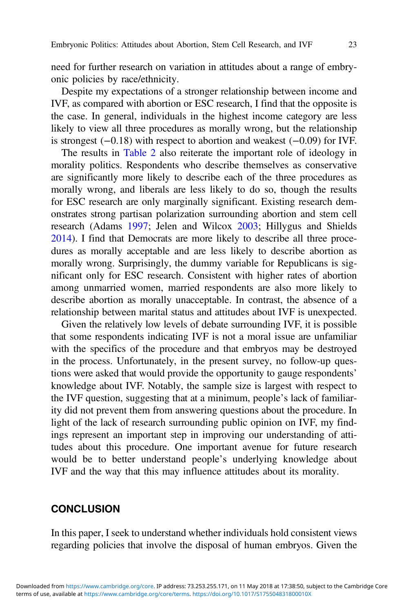need for further research on variation in attitudes about a range of embryonic policies by race/ethnicity.

Despite my expectations of a stronger relationship between income and IVF, as compared with abortion or ESC research, I find that the opposite is the case. In general, individuals in the highest income category are less likely to view all three procedures as morally wrong, but the relationship is strongest (−0.18) with respect to abortion and weakest (−0.09) for IVF.

The results in [Table 2](#page-16-0) also reiterate the important role of ideology in morality politics. Respondents who describe themselves as conservative are significantly more likely to describe each of the three procedures as morally wrong, and liberals are less likely to do so, though the results for ESC research are only marginally significant. Existing research demonstrates strong partisan polarization surrounding abortion and stem cell research (Adams [1997;](#page-25-0) Jelen and Wilcox [2003](#page-27-0); Hillygus and Shields [2014](#page-26-0)). I find that Democrats are more likely to describe all three procedures as morally acceptable and are less likely to describe abortion as morally wrong. Surprisingly, the dummy variable for Republicans is significant only for ESC research. Consistent with higher rates of abortion among unmarried women, married respondents are also more likely to describe abortion as morally unacceptable. In contrast, the absence of a relationship between marital status and attitudes about IVF is unexpected.

Given the relatively low levels of debate surrounding IVF, it is possible that some respondents indicating IVF is not a moral issue are unfamiliar with the specifics of the procedure and that embryos may be destroyed in the process. Unfortunately, in the present survey, no follow-up questions were asked that would provide the opportunity to gauge respondents' knowledge about IVF. Notably, the sample size is largest with respect to the IVF question, suggesting that at a minimum, people's lack of familiarity did not prevent them from answering questions about the procedure. In light of the lack of research surrounding public opinion on IVF, my findings represent an important step in improving our understanding of attitudes about this procedure. One important avenue for future research would be to better understand people's underlying knowledge about IVF and the way that this may influence attitudes about its morality.

### **CONCLUSION**

In this paper, I seek to understand whether individuals hold consistent views regarding policies that involve the disposal of human embryos. Given the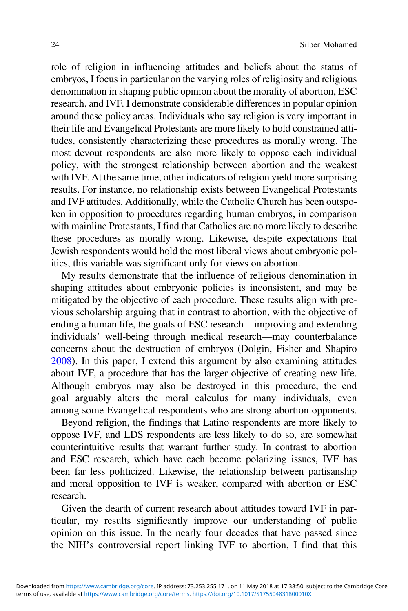role of religion in influencing attitudes and beliefs about the status of embryos, I focus in particular on the varying roles of religiosity and religious denomination in shaping public opinion about the morality of abortion, ESC research, and IVF. I demonstrate considerable differences in popular opinion around these policy areas. Individuals who say religion is very important in their life and Evangelical Protestants are more likely to hold constrained attitudes, consistently characterizing these procedures as morally wrong. The most devout respondents are also more likely to oppose each individual policy, with the strongest relationship between abortion and the weakest with IVF. At the same time, other indicators of religion yield more surprising results. For instance, no relationship exists between Evangelical Protestants and IVF attitudes. Additionally, while the Catholic Church has been outspoken in opposition to procedures regarding human embryos, in comparison with mainline Protestants, I find that Catholics are no more likely to describe these procedures as morally wrong. Likewise, despite expectations that Jewish respondents would hold the most liberal views about embryonic politics, this variable was significant only for views on abortion.

My results demonstrate that the influence of religious denomination in shaping attitudes about embryonic policies is inconsistent, and may be mitigated by the objective of each procedure. These results align with previous scholarship arguing that in contrast to abortion, with the objective of ending a human life, the goals of ESC research—improving and extending individuals' well-being through medical research—may counterbalance concerns about the destruction of embryos (Dolgin, Fisher and Shapiro [2008](#page-25-0)). In this paper, I extend this argument by also examining attitudes about IVF, a procedure that has the larger objective of creating new life. Although embryos may also be destroyed in this procedure, the end goal arguably alters the moral calculus for many individuals, even among some Evangelical respondents who are strong abortion opponents.

Beyond religion, the findings that Latino respondents are more likely to oppose IVF, and LDS respondents are less likely to do so, are somewhat counterintuitive results that warrant further study. In contrast to abortion and ESC research, which have each become polarizing issues, IVF has been far less politicized. Likewise, the relationship between partisanship and moral opposition to IVF is weaker, compared with abortion or ESC research.

Given the dearth of current research about attitudes toward IVF in particular, my results significantly improve our understanding of public opinion on this issue. In the nearly four decades that have passed since the NIH's controversial report linking IVF to abortion, I find that this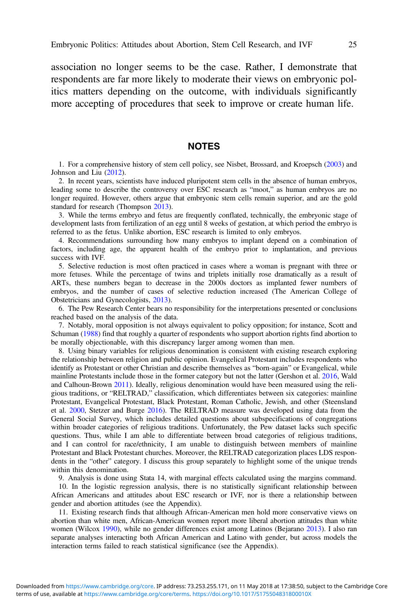<span id="page-24-0"></span>association no longer seems to be the case. Rather, I demonstrate that respondents are far more likely to moderate their views on embryonic politics matters depending on the outcome, with individuals significantly more accepting of procedures that seek to improve or create human life.

#### NOTES

1. For a comprehensive history of stem cell policy, see Nisbet, Brossard, and Kroepsch ([2003\)](#page-28-0) and Johnson and Liu  $(2012)$  $(2012)$ .

2. In recent years, scientists have induced pluripotent stem cells in the absence of human embryos, leading some to describe the controversy over ESC research as "moot," as human embryos are no longer required. However, others argue that embryonic stem cells remain superior, and are the gold standard for research (Thompson [2013\)](#page-29-0).

3. While the terms embryo and fetus are frequently conflated, technically, the embryonic stage of development lasts from fertilization of an egg until 8 weeks of gestation, at which period the embryo is referred to as the fetus. Unlike abortion, ESC research is limited to only embryos.

4. Recommendations surrounding how many embryos to implant depend on a combination of factors, including age, the apparent health of the embryo prior to implantation, and previous success with IVF.

5. Selective reduction is most often practiced in cases where a woman is pregnant with three or more fetuses. While the percentage of twins and triplets initially rose dramatically as a result of ARTs, these numbers began to decrease in the 2000s doctors as implanted fewer numbers of embryos, and the number of cases of selective reduction increased (The American College of Obstetricians and Gynecologists, [2013\)](#page-29-0).

6. The Pew Research Center bears no responsibility for the interpretations presented or conclusions reached based on the analysis of the data.

7. Notably, moral opposition is not always equivalent to policy opposition; for instance, Scott and Schuman ([1988\)](#page-28-0) find that roughly a quarter of respondents who support abortion rights find abortion to be morally objectionable, with this discrepancy larger among women than men.

8. Using binary variables for religious denomination is consistent with existing research exploring the relationship between religion and public opinion. Evangelical Protestant includes respondents who identify as Protestant or other Christian and describe themselves as "born-again" or Evangelical, while mainline Protestants include those in the former category but not the latter (Gershon et al. [2016](#page-26-0), Wald and Calhoun-Brown [2011\)](#page-29-0). Ideally, religious denomination would have been measured using the religious traditions, or "RELTRAD," classification, which differentiates between six categories: mainline Protestant, Evangelical Protestant, Black Protestant, Roman Catholic, Jewish, and other (Steensland et al. [2000](#page-28-0), Stetzer and Burge [2016](#page-28-0)). The RELTRAD measure was developed using data from the General Social Survey, which includes detailed questions about subspecifications of congregations within broader categories of religious traditions. Unfortunately, the Pew dataset lacks such specific questions. Thus, while I am able to differentiate between broad categories of religious traditions, and I can control for race/ethnicity, I am unable to distinguish between members of mainline Protestant and Black Protestant churches. Moreover, the RELTRAD categorization places LDS respondents in the "other" category. I discuss this group separately to highlight some of the unique trends within this denomination.

9. Analysis is done using Stata 14, with marginal effects calculated using the margins command.

10. In the logistic regression analysis, there is no statistically significant relationship between African Americans and attitudes about ESC research or IVF, nor is there a relationship between gender and abortion attitudes (see the Appendix).

11. Existing research finds that although African-American men hold more conservative views on abortion than white men, African-American women report more liberal abortion attitudes than white women (Wilcox [1990](#page-29-0)), while no gender differences exist among Latinos (Bejarano [2013](#page-25-0)). I also ran separate analyses interacting both African American and Latino with gender, but across models the interaction terms failed to reach statistical significance (see the Appendix).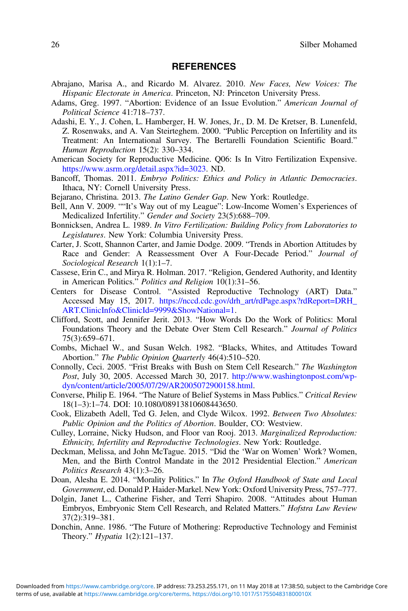#### **REFERENCES**

- <span id="page-25-0"></span>Abrajano, Marisa A., and Ricardo M. Alvarez. 2010. New Faces, New Voices: The Hispanic Electorate in America. Princeton, NJ: Princeton University Press.
- Adams, Greg. 1997. "Abortion: Evidence of an Issue Evolution." American Journal of Political Science 41:718–737.
- Adashi, E. Y., J. Cohen, L. Hamberger, H. W. Jones, Jr., D. M. De Kretser, B. Lunenfeld, Z. Rosenwaks, and A. Van Steirteghem. 2000. "Public Perception on Infertility and its Treatment: An International Survey. The Bertarelli Foundation Scientific Board." Human Reproduction 15(2): 330–334.
- American Society for Reproductive Medicine. Q06: Is In Vitro Fertilization Expensive. <https://www.asrm.org/detail.aspx?id=3023>. ND.
- Bancoff, Thomas. 2011. Embryo Politics: Ethics and Policy in Atlantic Democracies. Ithaca, NY: Cornell University Press.
- Bejarano, Christina. 2013. The Latino Gender Gap. New York: Routledge.
- Bell, Ann V. 2009. ""It's Way out of my League": Low-Income Women's Experiences of Medicalized Infertility." Gender and Society 23(5):688–709.
- Bonnicksen, Andrea L. 1989. In Vitro Fertilization: Building Policy from Laboratories to Legislatures. New York: Columbia University Press.
- Carter, J. Scott, Shannon Carter, and Jamie Dodge. 2009. "Trends in Abortion Attitudes by Race and Gender: A Reassessment Over A Four-Decade Period." Journal of Sociological Research 1(1):1–7.
- Cassese, Erin C., and Mirya R. Holman. 2017. "Religion, Gendered Authority, and Identity in American Politics." Politics and Religion 10(1):31-56.
- Centers for Disease Control. "Assisted Reproductive Technology (ART) Data." Accessed May 15, 2017. [https://nccd.cdc.gov/drh\\_art/rdPage.aspx?rdReport=DRH\\_](https://nccd.cdc.gov/drh_art/rdPage.aspx?rdReport=DRH_ART.ClinicInfo&ClinicId=9999&ShowNational=1) [ART.ClinicInfo&ClinicId=9999&ShowNational=1](https://nccd.cdc.gov/drh_art/rdPage.aspx?rdReport=DRH_ART.ClinicInfo&ClinicId=9999&ShowNational=1).
- Clifford, Scott, and Jennifer Jerit. 2013. "How Words Do the Work of Politics: Moral Foundations Theory and the Debate Over Stem Cell Research." Journal of Politics 75(3):659–671.
- Combs, Michael W., and Susan Welch. 1982. "Blacks, Whites, and Attitudes Toward Abortion." The Public Opinion Quarterly 46(4):510-520.
- Connolly, Ceci. 2005. "Frist Breaks with Bush on Stem Cell Research." The Washington Post, July 30, 2005. Accessed March 30, 2017. [http://www.washingtonpost.com/wp](http://www.washingtonpost.com/wp-dyn/content/article/2005/07/29/AR2005072900158.html)[dyn/content/article/2005/07/29/AR2005072900158.html.](http://www.washingtonpost.com/wp-dyn/content/article/2005/07/29/AR2005072900158.html)
- Converse, Philip E. 1964. "The Nature of Belief Systems in Mass Publics." Critical Review 18(1–3):1–74. DOI: 10.1080/08913810608443650.
- Cook, Elizabeth Adell, Ted G. Jelen, and Clyde Wilcox. 1992. Between Two Absolutes: Public Opinion and the Politics of Abortion. Boulder, CO: Westview.
- Culley, Lorraine, Nicky Hudson, and Floor van Rooj. 2013. Marginalized Reproduction: Ethnicity, Infertility and Reproductive Technologies. New York: Routledge.
- Deckman, Melissa, and John McTague. 2015. "Did the 'War on Women' Work? Women, Men, and the Birth Control Mandate in the 2012 Presidential Election." American Politics Research 43(1):3–26.
- Doan, Alesha E. 2014. "Morality Politics." In The Oxford Handbook of State and Local Government, ed. Donald P. Haider-Markel. New York: Oxford University Press, 757–777.
- Dolgin, Janet L., Catherine Fisher, and Terri Shapiro. 2008. "Attitudes about Human Embryos, Embryonic Stem Cell Research, and Related Matters." Hofstra Law Review 37(2):319–381.
- Donchin, Anne. 1986. "The Future of Mothering: Reproductive Technology and Feminist Theory." Hypatia 1(2):121–137.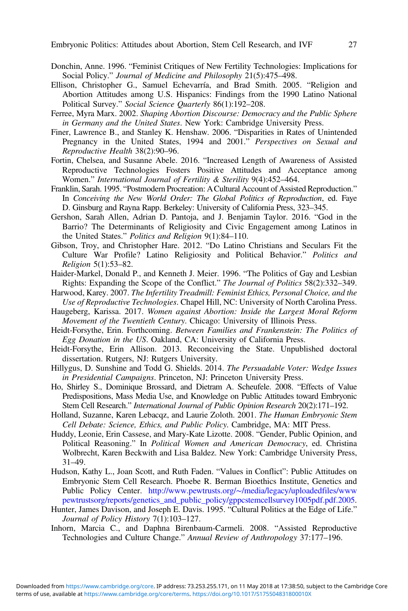- <span id="page-26-0"></span>Donchin, Anne. 1996. "Feminist Critiques of New Fertility Technologies: Implications for Social Policy." Journal of Medicine and Philosophy 21(5):475–498.
- Ellison, Christopher G., Samuel Echevarría, and Brad Smith. 2005. "Religion and Abortion Attitudes among U.S. Hispanics: Findings from the 1990 Latino National Political Survey." Social Science Quarterly 86(1):192–208.
- Ferree, Myra Marx. 2002. Shaping Abortion Discourse: Democracy and the Public Sphere in Germany and the United States. New York: Cambridge University Press.
- Finer, Lawrence B., and Stanley K. Henshaw. 2006. "Disparities in Rates of Unintended Pregnancy in the United States, 1994 and 2001." Perspectives on Sexual and Reproductive Health 38(2):90–96.
- Fortin, Chelsea, and Susanne Abele. 2016. "Increased Length of Awareness of Assisted Reproductive Technologies Fosters Positive Attitudes and Acceptance among Women." International Journal of Fertility & Sterility 9(4):452–464.
- Franklin, Sarah. 1995. "Postmodern Procreation: ACultural Account of Assisted Reproduction." In Conceiving the New World Order: The Global Politics of Reproduction, ed. Faye D. Ginsburg and Rayna Rapp. Berkeley: University of California Press, 323–345.
- Gershon, Sarah Allen, Adrian D. Pantoja, and J. Benjamin Taylor. 2016. "God in the Barrio? The Determinants of Religiosity and Civic Engagement among Latinos in the United States." Politics and Religion 9(1):84-110.
- Gibson, Troy, and Christopher Hare. 2012. "Do Latino Christians and Seculars Fit the Culture War Profile? Latino Religiosity and Political Behavior." Politics and Religion 5(1):53–82.
- Haider-Markel, Donald P., and Kenneth J. Meier. 1996. "The Politics of Gay and Lesbian Rights: Expanding the Scope of the Conflict." The Journal of Politics 58(2):332–349.
- Harwood, Karey. 2007. The Infertility Treadmill: Feminist Ethics, Personal Choice, and the Use of Reproductive Technologies. Chapel Hill, NC: University of North Carolina Press.
- Haugeberg, Karissa. 2017. Women against Abortion: Inside the Largest Moral Reform Movement of the Twentieth Century. Chicago: University of Illinois Press.
- Heidt-Forsythe, Erin. Forthcoming. Between Families and Frankenstein: The Politics of Egg Donation in the US. Oakland, CA: University of California Press.
- Heidt-Forsythe, Erin Allison. 2013. Reconceiving the State. Unpublished doctoral dissertation. Rutgers, NJ: Rutgers University.
- Hillygus, D. Sunshine and Todd G. Shields. 2014. The Persuadable Voter: Wedge Issues in Presidential Campaigns. Princeton, NJ: Princeton University Press.
- Ho, Shirley S., Dominique Brossard, and Dietram A. Scheufele. 2008. "Effects of Value Predispositions, Mass Media Use, and Knowledge on Public Attitudes toward Embryonic Stem Cell Research." International Journal of Public Opinion Research 20(2):171–192.
- Holland, Suzanne, Karen Lebacqz, and Laurie Zoloth. 2001. The Human Embryonic Stem Cell Debate: Science, Ethics, and Public Policy. Cambridge, MA: MIT Press.
- Huddy, Leonie, Erin Cassese, and Mary-Kate Lizotte. 2008. "Gender, Public Opinion, and Political Reasoning." In Political Women and American Democracy, ed. Christina Wolbrecht, Karen Beckwith and Lisa Baldez. New York: Cambridge University Press, 31–49.
- Hudson, Kathy L., Joan Scott, and Ruth Faden. "Values in Conflict": Public Attitudes on Embryonic Stem Cell Research. Phoebe R. Berman Bioethics Institute, Genetics and Public Policy Center. http://www.pewtrusts.org/∼[/media/legacy/uploadedfiles/www](http://www.pewtrusts.org/∼/media/legacy/uploadedfiles/wwwpewtrustsorg/reports/genetics_and_public_policy/gppcstemcellsurvey1005pdf.pdf.2005) [pewtrustsorg/reports/genetics\\_and\\_public\\_policy/gppcstemcellsurvey1005pdf.pdf.2005.](http://www.pewtrusts.org/∼/media/legacy/uploadedfiles/wwwpewtrustsorg/reports/genetics_and_public_policy/gppcstemcellsurvey1005pdf.pdf.2005)
- Hunter, James Davison, and Joseph E. Davis. 1995. "Cultural Politics at the Edge of Life." Journal of Policy History 7(1):103–127.
- Inhorn, Marcia C., and Daphna Birenbaum-Carmeli. 2008. "Assisted Reproductive Technologies and Culture Change." Annual Review of Anthropology 37:177–196.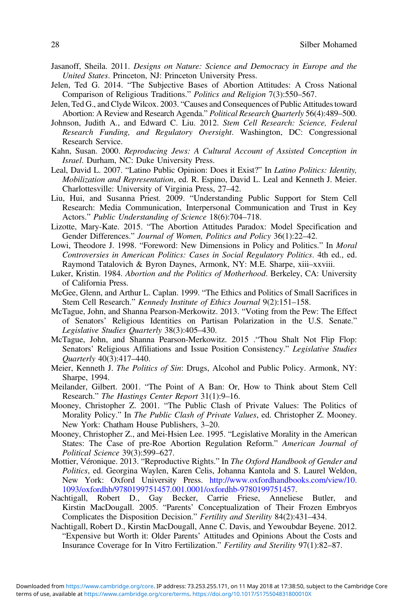<span id="page-27-0"></span>28 Silber Mohamed

- Jasanoff, Sheila. 2011. Designs on Nature: Science and Democracy in Europe and the United States. Princeton, NJ: Princeton University Press.
- Jelen, Ted G. 2014. "The Subjective Bases of Abortion Attitudes: A Cross National Comparison of Religious Traditions." Politics and Religion 7(3):550–567.
- Jelen, Ted G., and Clyde Wilcox. 2003. "Causes and Consequences of Public Attitudes toward Abortion: A Review and Research Agenda." Political Research Quarterly 56(4):489-500.
- Johnson, Judith A., and Edward C. Liu. 2012. Stem Cell Research: Science, Federal Research Funding, and Regulatory Oversight. Washington, DC: Congressional Research Service.
- Kahn, Susan. 2000. Reproducing Jews: A Cultural Account of Assisted Conception in Israel. Durham, NC: Duke University Press.
- Leal, David L. 2007. "Latino Public Opinion: Does it Exist?" In Latino Politics: Identity, Mobilization and Representation, ed. R. Espino, David L. Leal and Kenneth J. Meier. Charlottesville: University of Virginia Press, 27–42.
- Liu, Hui, and Susanna Priest. 2009. "Understanding Public Support for Stem Cell Research: Media Communication, Interpersonal Communication and Trust in Key Actors." Public Understanding of Science 18(6):704–718.
- Lizotte, Mary-Kate. 2015. "The Abortion Attitudes Paradox: Model Specification and Gender Differences." Journal of Women, Politics and Policy 36(1):22-42.
- Lowi, Theodore J. 1998. "Foreword: New Dimensions in Policy and Politics." In Moral Controversies in American Politics: Cases in Social Regulatory Politics. 4th ed., ed. Raymond Tatalovich & Byron Daynes, Armonk, NY: M.E. Sharpe, xiii–xxviii.
- Luker, Kristin. 1984. Abortion and the Politics of Motherhood. Berkeley, CA: University of California Press.
- McGee, Glenn, and Arthur L. Caplan. 1999. "The Ethics and Politics of Small Sacrifices in Stem Cell Research." Kennedy Institute of Ethics Journal 9(2):151-158.
- McTague, John, and Shanna Pearson-Merkowitz. 2013. "Voting from the Pew: The Effect of Senators' Religious Identities on Partisan Polarization in the U.S. Senate." Legislative Studies Quarterly 38(3):405–430.
- McTague, John, and Shanna Pearson-Merkowitz. 2015 ."Thou Shalt Not Flip Flop: Senators' Religious Affiliations and Issue Position Consistency." Legislative Studies Quarterly 40(3):417–440.
- Meier, Kenneth J. The Politics of Sin: Drugs, Alcohol and Public Policy. Armonk, NY: Sharpe, 1994.
- Meilander, Gilbert. 2001. "The Point of A Ban: Or, How to Think about Stem Cell Research." The Hastings Center Report 31(1):9-16.
- Mooney, Christopher Z. 2001. "The Public Clash of Private Values: The Politics of Morality Policy." In The Public Clash of Private Values, ed. Christopher Z. Mooney. New York: Chatham House Publishers, 3–20.
- Mooney, Christopher Z., and Mei-Hsien Lee. 1995. "Legislative Morality in the American States: The Case of pre-Roe Abortion Regulation Reform." American Journal of Political Science 39(3):599–627.
- Mottier, Véronique. 2013. "Reproductive Rights." In The Oxford Handbook of Gender and Politics, ed. Georgina Waylen, Karen Celis, Johanna Kantola and S. Laurel Weldon, New York: Oxford University Press. [http://www.oxfordhandbooks.com/view/10.](http://www.oxfordhandbooks.com/view/10.1093/oxfordhb/9780199751457.001.0001/oxfordhb-9780199751457) [1093/oxfordhb/9780199751457.001.0001/oxfordhb-9780199751457.](http://www.oxfordhandbooks.com/view/10.1093/oxfordhb/9780199751457.001.0001/oxfordhb-9780199751457)
- Nachtigall, Robert D., Gay Becker, Carrie Friese, Anneliese Butler, and Kirstin MacDougall. 2005. "Parents' Conceptualization of Their Frozen Embryos Complicates the Disposition Decision." Fertility and Sterility 84(2):431–434.
- Nachtigall, Robert D., Kirstin MacDougall, Anne C. Davis, and Yewoubdar Beyene. 2012. "Expensive but Worth it: Older Parents' Attitudes and Opinions About the Costs and Insurance Coverage for In Vitro Fertilization." Fertility and Sterility 97(1):82–87.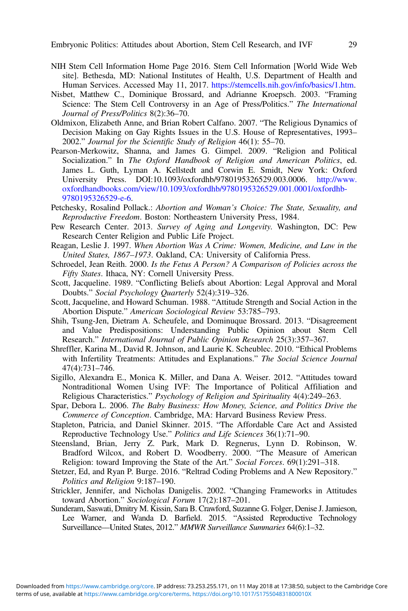- <span id="page-28-0"></span>NIH Stem Cell Information Home Page 2016. Stem Cell Information [World Wide Web site]. Bethesda, MD: National Institutes of Health, U.S. Department of Health and Human Services. Accessed May 11, 2017. [https://stemcells.nih.gov/info/basics/1.htm.](https://stemcells.nih.gov/info/basics/1.htm)
- Nisbet, Matthew C., Dominique Brossard, and Adrianne Kroepsch. 2003. "Framing Science: The Stem Cell Controversy in an Age of Press/Politics." The International Journal of Press/Politics 8(2):36–70.
- Oldmixon, Elizabeth Anne, and Brian Robert Calfano. 2007. "The Religious Dynamics of Decision Making on Gay Rights Issues in the U.S. House of Representatives, 1993– 2002." Journal for the Scientific Study of Religion 46(1): 55–70.
- Pearson-Merkowitz, Shanna, and James G. Gimpel. 2009. "Religion and Political Socialization." In The Oxford Handbook of Religion and American Politics, ed. James L. Guth, Lyman A. Kellstedt and Corwin E. Smidt, New York: Oxford University Press. DOI:10.1093/oxfordhb/9780195326529.003.0006. [http://www.](http://www.oxfordhandbooks.com/view/10.1093/oxfordhb/9780195326529.001.0001/oxfordhb-9780195326529-e-6) [oxfordhandbooks.com/view/10.1093/oxfordhb/9780195326529.001.0001/oxfordhb-](http://www.oxfordhandbooks.com/view/10.1093/oxfordhb/9780195326529.001.0001/oxfordhb-9780195326529-e-6)[9780195326529-e-6.](http://www.oxfordhandbooks.com/view/10.1093/oxfordhb/9780195326529.001.0001/oxfordhb-9780195326529-e-6)
- Petchesky, Rosalind Pollack.: Abortion and Woman's Choice: The State, Sexuality, and Reproductive Freedom. Boston: Northeastern University Press, 1984.
- Pew Research Center. 2013. Survey of Aging and Longevity. Washington, DC: Pew Research Center Religion and Public Life Project.
- Reagan, Leslie J. 1997. When Abortion Was A Crime: Women, Medicine, and Law in the United States, 1867–1973. Oakland, CA: University of California Press.
- Schroedel, Jean Reith. 2000. Is the Fetus A Person? A Comparison of Policies across the Fifty States. Ithaca, NY: Cornell University Press.
- Scott, Jacqueline. 1989. "Conflicting Beliefs about Abortion: Legal Approval and Moral Doubts." Social Psychology Quarterly 52(4):319–326.
- Scott, Jacqueline, and Howard Schuman. 1988. "Attitude Strength and Social Action in the Abortion Dispute." American Sociological Review 53:785–793.
- Shih, Tsung-Jen, Dietram A. Scheufele, and Dominuque Brossard. 2013. "Disagreement and Value Predispositions: Understanding Public Opinion about Stem Cell Research." International Journal of Public Opinion Research 25(3):357–367.
- Shreffler, Karina M., David R. Johnson, and Laurie K. Scheublec. 2010. "Ethical Problems with Infertility Treatments: Attitudes and Explanations." The Social Science Journal 47(4):731–746.
- Sigillo, Alexandra E., Monica K. Miller, and Dana A. Weiser. 2012. "Attitudes toward Nontraditional Women Using IVF: The Importance of Political Affiliation and Religious Characteristics." Psychology of Religion and Spirituality 4(4):249–263.
- Spar, Debora L. 2006. The Baby Business: How Money, Science, and Politics Drive the Commerce of Conception. Cambridge, MA: Harvard Business Review Press.
- Stapleton, Patricia, and Daniel Skinner. 2015. "The Affordable Care Act and Assisted Reproductive Technology Use." Politics and Life Sciences 36(1):71–90.
- Steensland, Brian, Jerry Z. Park, Mark D. Regnerus, Lynn D. Robinson, W. Bradford Wilcox, and Robert D. Woodberry. 2000. "The Measure of American Religion: toward Improving the State of the Art." Social Forces. 69(1):291-318.
- Stetzer, Ed, and Ryan P. Burge. 2016. "Reltrad Coding Problems and A New Repository." Politics and Religion 9:187–190.
- Strickler, Jennifer, and Nicholas Danigelis. 2002. "Changing Frameworks in Attitudes toward Abortion." Sociological Forum 17(2):187–201.
- Sunderam, Saswati, Dmitry M. Kissin, Sara B. Crawford, Suzanne G. Folger, Denise J. Jamieson, Lee Warner, and Wanda D. Barfield. 2015. "Assisted Reproductive Technology Surveillance––United States, 2012." MMWR Surveillance Summaries 64(6):1–32.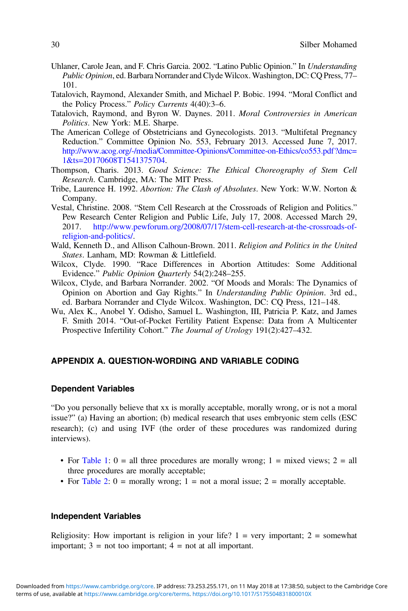- <span id="page-29-0"></span>Uhlaner, Carole Jean, and F. Chris Garcia. 2002. "Latino Public Opinion." In Understanding Public Opinion, ed. Barbara Norrander and Clyde Wilcox. Washington, DC: CQ Press, 77– 101.
- Tatalovich, Raymond, Alexander Smith, and Michael P. Bobic. 1994. "Moral Conflict and the Policy Process." Policy Currents 4(40):3–6.
- Tatalovich, Raymond, and Byron W. Daynes. 2011. Moral Controversies in American Politics. New York: M.E. Sharpe.
- The American College of Obstetricians and Gynecologists. 2013. "Multifetal Pregnancy Reduction." Committee Opinion No. 553, February 2013. Accessed June 7, 2017. [http://www.acog.org/-/media/Committee-Opinions/Committee-on-Ethics/co553.pdf?dmc=](http://www.acog.org/-/media/Committee-Opinions/Committee-on-Ethics/co553.pdf?dmc=1&ts=20170608T1541375704) [1&ts=20170608T1541375704.](http://www.acog.org/-/media/Committee-Opinions/Committee-on-Ethics/co553.pdf?dmc=1&ts=20170608T1541375704)
- Thompson, Charis. 2013. Good Science: The Ethical Choreography of Stem Cell Research. Cambridge, MA: The MIT Press.
- Tribe, Laurence H. 1992. Abortion: The Clash of Absolutes. New York: W.W. Norton & Company.
- Vestal, Christine. 2008. "Stem Cell Research at the Crossroads of Religion and Politics." Pew Research Center Religion and Public Life, July 17, 2008. Accessed March 29, 2017. [http://www.pewforum.org/2008/07/17/stem-cell-research-at-the-crossroads-of](http://www.pewforum.org/2008/07/17/stem-cell-research-at-the-crossroads-of-religion-and-politics/)[religion-and-politics/.](http://www.pewforum.org/2008/07/17/stem-cell-research-at-the-crossroads-of-religion-and-politics/)
- Wald, Kenneth D., and Allison Calhoun-Brown. 2011. Religion and Politics in the United States. Lanham, MD: Rowman & Littlefield.
- Wilcox, Clyde. 1990. "Race Differences in Abortion Attitudes: Some Additional Evidence." Public Opinion Quarterly 54(2):248–255.
- Wilcox, Clyde, and Barbara Norrander. 2002. "Of Moods and Morals: The Dynamics of Opinion on Abortion and Gay Rights." In Understanding Public Opinion. 3rd ed., ed. Barbara Norrander and Clyde Wilcox. Washington, DC: CQ Press, 121–148.
- Wu, Alex K., Anobel Y. Odisho, Samuel L. Washington, III, Patricia P. Katz, and James F. Smith 2014. "Out-of-Pocket Fertility Patient Expense: Data from A Multicenter Prospective Infertility Cohort." The Journal of Urology 191(2):427–432.

#### APPENDIX A. QUESTION-WORDING AND VARIABLE CODING

#### Dependent Variables

"Do you personally believe that xx is morally acceptable, morally wrong, or is not a moral issue?" (a) Having an abortion; (b) medical research that uses embryonic stem cells (ESC research); (c) and using IVF (the order of these procedures was randomized during interviews).

- For [Table 1:](#page-13-0) 0 = all three procedures are morally wrong;  $1 =$  mixed views;  $2 =$  all three procedures are morally acceptable;
- For [Table 2](#page-16-0): 0 = morally wrong; 1 = not a moral issue; 2 = morally acceptable.

#### Independent Variables

Religiosity: How important is religion in your life?  $1 = \text{very important}$ ;  $2 = \text{somewhat}$ important;  $3 = not too important; 4 = not at all important.$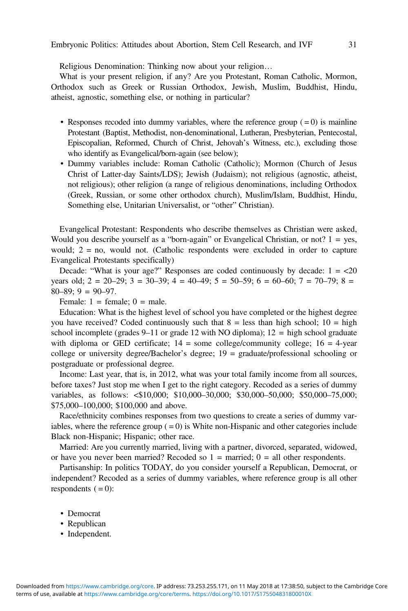Religious Denomination: Thinking now about your religion…

What is your present religion, if any? Are you Protestant, Roman Catholic, Mormon, Orthodox such as Greek or Russian Orthodox, Jewish, Muslim, Buddhist, Hindu, atheist, agnostic, something else, or nothing in particular?

- Responses recoded into dummy variables, where the reference group  $( = 0)$  is mainline Protestant (Baptist, Methodist, non-denominational, Lutheran, Presbyterian, Pentecostal, Episcopalian, Reformed, Church of Christ, Jehovah's Witness, etc.), excluding those who identify as Evangelical/born-again (see below);
- Dummy variables include: Roman Catholic (Catholic); Mormon (Church of Jesus Christ of Latter-day Saints/LDS); Jewish (Judaism); not religious (agnostic, atheist, not religious); other religion (a range of religious denominations, including Orthodox (Greek, Russian, or some other orthodox church), Muslim/Islam, Buddhist, Hindu, Something else, Unitarian Universalist, or "other" Christian).

Evangelical Protestant: Respondents who describe themselves as Christian were asked, Would you describe yourself as a "born-again" or Evangelical Christian, or not? 1 = yes, would; 2 = no, would not. (Catholic respondents were excluded in order to capture Evangelical Protestants specifically)

Decade: "What is your age?" Responses are coded continuously by decade:  $1 = 20$ years old;  $2 = 20-29$ ;  $3 = 30-39$ ;  $4 = 40-49$ ;  $5 = 50-59$ ;  $6 = 60-60$ ;  $7 = 70-79$ ;  $8 =$  $80-89$ ;  $9 = 90-97$ .

Female:  $1 = \text{female}; 0 = \text{male}.$ 

Education: What is the highest level of school you have completed or the highest degree you have received? Coded continuously such that  $8 =$  less than high school;  $10 =$  high school incomplete (grades  $9-11$  or grade 12 with NO diploma);  $12 =$  high school graduate with diploma or GED certificate;  $14 =$  some college/community college;  $16 = 4$ -year college or university degree/Bachelor's degree; 19 = graduate/professional schooling or postgraduate or professional degree.

Income: Last year, that is, in 2012, what was your total family income from all sources, before taxes? Just stop me when I get to the right category. Recoded as a series of dummy variables, as follows: <\$10,000; \$10,000–30,000; \$30,000–50,000; \$50,000–75,000; \$75,000–100,000; \$100,000 and above.

Race/ethnicity combines responses from two questions to create a series of dummy variables, where the reference group  $( = 0)$  is White non-Hispanic and other categories include Black non-Hispanic; Hispanic; other race.

Married: Are you currently married, living with a partner, divorced, separated, widowed, or have you never been married? Recoded so  $1 =$  married;  $0 =$  all other respondents.

Partisanship: In politics TODAY, do you consider yourself a Republican, Democrat, or independent? Recoded as a series of dummy variables, where reference group is all other respondents  $( = 0)$ :

- Democrat
- Republican
- Independent.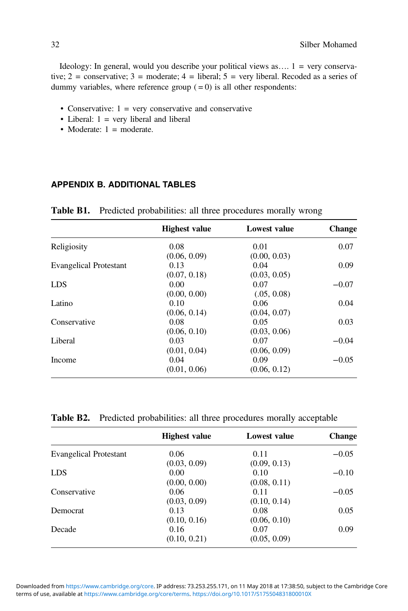Ideology: In general, would you describe your political views as....  $1 =$  very conservative; 2 = conservative; 3 = moderate; 4 = liberal; 5 = very liberal. Recoded as a series of dummy variables, where reference group  $( = 0)$  is all other respondents:

- Conservative:  $1 = \text{very conservative}$  and conservative
- Liberal: 1 = very liberal and liberal
- Moderate:  $1 =$  moderate.

#### APPENDIX B. ADDITIONAL TABLES

|                               | <b>Highest value</b> | Lowest value         | <b>Change</b> |
|-------------------------------|----------------------|----------------------|---------------|
| Religiosity                   | 0.08                 | 0.01                 | 0.07          |
|                               | (0.06, 0.09)         | (0.00, 0.03)         |               |
| <b>Evangelical Protestant</b> | 0.13<br>(0.07, 0.18) | 0.04<br>(0.03, 0.05) | 0.09          |
| <b>LDS</b>                    | 0.00                 | 0.07                 | $-0.07$       |
|                               | (0.00, 0.00)         | (.05, 0.08)          |               |
| Latino                        | 0.10                 | 0.06                 | 0.04          |
|                               | (0.06, 0.14)         | (0.04, 0.07)         |               |
| Conservative                  | 0.08                 | 0.05                 | 0.03          |
|                               | (0.06, 0.10)         | (0.03, 0.06)         |               |
| Liberal                       | 0.03                 | 0.07                 | $-0.04$       |
|                               | (0.01, 0.04)         | (0.06, 0.09)         |               |
| Income                        | 0.04                 | 0.09                 | $-0.05$       |
|                               | (0.01, 0.06)         | (0.06, 0.12)         |               |

Table B1. Predicted probabilities: all three procedures morally wrong

| Table B2. Predicted probabilities: all three procedures morally acceptable |  |
|----------------------------------------------------------------------------|--|
|----------------------------------------------------------------------------|--|

|                               | <b>Highest value</b> | Lowest value | <b>Change</b> |
|-------------------------------|----------------------|--------------|---------------|
| <b>Evangelical Protestant</b> | 0.06                 | 0.11         | $-0.05$       |
|                               | (0.03, 0.09)         | (0.09, 0.13) |               |
| <b>LDS</b>                    | 0.00                 | 0.10         | $-0.10$       |
|                               | (0.00, 0.00)         | (0.08, 0.11) |               |
| Conservative                  | 0.06                 | 0.11         | $-0.05$       |
|                               | (0.03, 0.09)         | (0.10, 0.14) |               |
| <b>Democrat</b>               | 0.13                 | 0.08         | 0.05          |
|                               | (0.10, 0.16)         | (0.06, 0.10) |               |
| Decade                        | 0.16                 | 0.07         | 0.09          |
|                               | (0.10, 0.21)         | (0.05, 0.09) |               |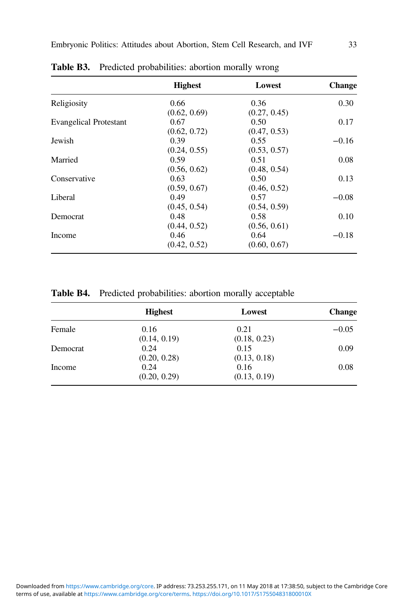| <b>Highest</b> | Lowest       | <b>Change</b> |
|----------------|--------------|---------------|
| 0.66           | 0.36         | 0.30          |
| (0.62, 0.69)   | (0.27, 0.45) |               |
| 0.67           | 0.50         | 0.17          |
| (0.62, 0.72)   | (0.47, 0.53) |               |
| 0.39           | 0.55         | $-0.16$       |
| (0.24, 0.55)   | (0.53, 0.57) |               |
| 0.59           | 0.51         | 0.08          |
| (0.56, 0.62)   | (0.48, 0.54) |               |
| 0.63           | 0.50         | 0.13          |
| (0.59, 0.67)   | (0.46, 0.52) |               |
| 0.49           | 0.57         | $-0.08$       |
| (0.45, 0.54)   | (0.54, 0.59) |               |
| 0.48           | 0.58         | 0.10          |
| (0.44, 0.52)   | (0.56, 0.61) |               |
| 0.46           | 0.64         | $-0.18$       |
| (0.42, 0.52)   | (0.60, 0.67) |               |
|                |              |               |

Table B3. Predicted probabilities: abortion morally wrong

| Table B4. Predicted probabilities: abortion morally acceptable |  |
|----------------------------------------------------------------|--|
|----------------------------------------------------------------|--|

| <b>Highest</b> | Lowest       | <b>Change</b> |
|----------------|--------------|---------------|
| 0.16           | 0.21         | $-0.05$       |
| (0.14, 0.19)   | (0.18, 0.23) |               |
| 0.24           | 0.15         | 0.09          |
|                |              |               |
| 0.24           | 0.16         | 0.08          |
| (0.20, 0.29)   | (0.13, 0.19) |               |
|                | (0.20, 0.28) | (0.13, 0.18)  |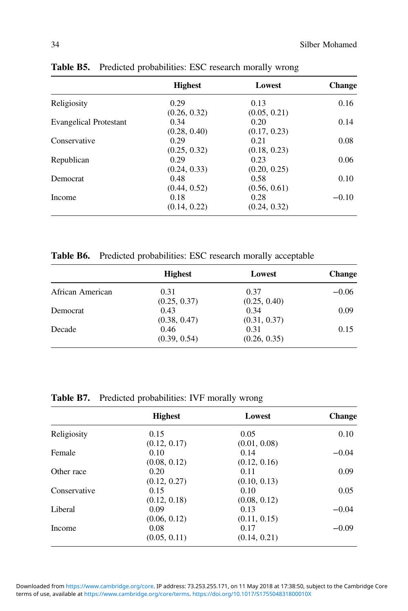34 Silber Mohamed

|                               | <b>Highest</b> | Lowest       | <b>Change</b> |
|-------------------------------|----------------|--------------|---------------|
| Religiosity                   | 0.29           | 0.13         | 0.16          |
|                               | (0.26, 0.32)   | (0.05, 0.21) |               |
| <b>Evangelical Protestant</b> | 0.34           | 0.20         | 0.14          |
|                               | (0.28, 0.40)   | (0.17, 0.23) |               |
| Conservative                  | 0.29           | 0.21         | 0.08          |
|                               | (0.25, 0.32)   | (0.18, 0.23) |               |
| Republican                    | 0.29           | 0.23         | 0.06          |
|                               | (0.24, 0.33)   | (0.20, 0.25) |               |
| Democrat                      | 0.48           | 0.58         | 0.10          |
|                               | (0.44, 0.52)   | (0.56, 0.61) |               |
| Income                        | 0.18           | 0.28         | $-0.10$       |
|                               | (0.14, 0.22)   | (0.24, 0.32) |               |
|                               |                |              |               |

Table B5. Predicted probabilities: ESC research morally wrong

Table B6. Predicted probabilities: ESC research morally acceptable

|                  | <b>Highest</b> | Lowest       | <b>Change</b> |
|------------------|----------------|--------------|---------------|
| African American | 0.31           | 0.37         | $-0.06$       |
|                  | (0.25, 0.37)   | (0.25, 0.40) |               |
| Democrat         | 0.43           | 0.34         | 0.09          |
|                  | (0.38, 0.47)   | (0.31, 0.37) |               |
| Decade           | 0.46           | 0.31         | 0.15          |
|                  | (0.39, 0.54)   | (0.26, 0.35) |               |

Table B7. Predicted probabilities: IVF morally wrong

|              | <b>Highest</b> | Lowest       | <b>Change</b> |
|--------------|----------------|--------------|---------------|
| Religiosity  | 0.15           | 0.05         | 0.10          |
|              | (0.12, 0.17)   | (0.01, 0.08) |               |
| Female       | 0.10           | 0.14         | $-0.04$       |
|              | (0.08, 0.12)   | (0.12, 0.16) |               |
| Other race   | 0.20           | 0.11         | 0.09          |
|              | (0.12, 0.27)   | (0.10, 0.13) |               |
| Conservative | 0.15           | 0.10         | 0.05          |
|              | (0.12, 0.18)   | (0.08, 0.12) |               |
| Liberal      | 0.09           | 0.13         | $-0.04$       |
|              | (0.06, 0.12)   | (0.11, 0.15) |               |
| Income       | 0.08           | 0.17         | $-0.09$       |
|              | (0.05, 0.11)   | (0.14, 0.21) |               |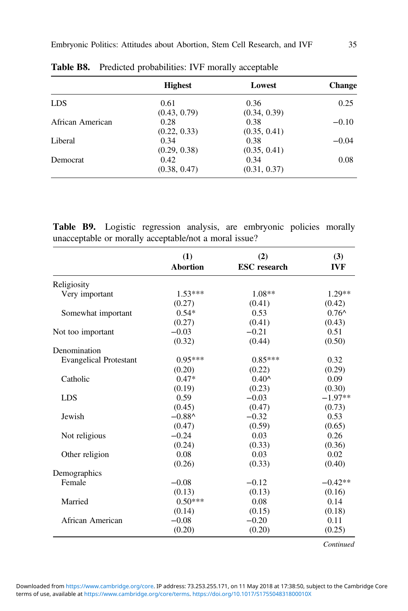|                  | <b>Highest</b> | Lowest       | <b>Change</b> |
|------------------|----------------|--------------|---------------|
| <b>LDS</b>       | 0.61           | 0.36         | 0.25          |
|                  | (0.43, 0.79)   | (0.34, 0.39) |               |
| African American | 0.28           | 0.38         | $-0.10$       |
|                  | (0.22, 0.33)   | (0.35, 0.41) |               |
| Liberal          | 0.34           | 0.38         | $-0.04$       |
|                  | (0.29, 0.38)   | (0.35, 0.41) |               |
| Democrat         | 0.42           | 0.34         | 0.08          |
|                  | (0.38, 0.47)   | (0.31, 0.37) |               |

Table B8. Predicted probabilities: IVF morally acceptable

|  |                                                       |  | Table B9. Logistic regression analysis, are embryonic policies morally |  |
|--|-------------------------------------------------------|--|------------------------------------------------------------------------|--|
|  | unacceptable or morally acceptable/not a moral issue? |  |                                                                        |  |

|                               | (1)<br><b>Abortion</b> | (2)<br><b>ESC</b> research | (3)<br><b>IVF</b> |
|-------------------------------|------------------------|----------------------------|-------------------|
| Religiosity                   |                        |                            |                   |
| Very important                | $1.53***$              | $1.08**$                   | $1.29**$          |
|                               | (0.27)                 | (0.41)                     | (0.42)            |
| Somewhat important            | $0.54*$                | 0.53                       | $0.76^{\circ}$    |
|                               | (0.27)                 | (0.41)                     | (0.43)            |
| Not too important             | $-0.03$                | $-0.21$                    | 0.51              |
|                               | (0.32)                 | (0.44)                     | (0.50)            |
| Denomination                  |                        |                            |                   |
| <b>Evangelical Protestant</b> | $0.95***$              | $0.85***$                  | 0.32              |
|                               | (0.20)                 | (0.22)                     | (0.29)            |
| Catholic                      | $0.47*$                | $0.40^{\circ}$             | 0.09              |
|                               | (0.19)                 | (0.23)                     | (0.30)            |
| <b>LDS</b>                    | 0.59                   | $-0.03$                    | $-1.97**$         |
|                               | (0.45)                 | (0.47)                     | (0.73)            |
| Jewish                        | $-0.88^$               | $-0.32$                    | 0.53              |
|                               | (0.47)                 | (0.59)                     | (0.65)            |
| Not religious                 | $-0.24$                | 0.03                       | 0.26              |
|                               | (0.24)                 | (0.33)                     | (0.36)            |
| Other religion                | 0.08                   | 0.03                       | 0.02              |
|                               | (0.26)                 | (0.33)                     | (0.40)            |
| Demographics                  |                        |                            |                   |
| Female                        | $-0.08$                | $-0.12$                    | $-0.42**$         |
|                               | (0.13)                 | (0.13)                     | (0.16)            |
| Married                       | $0.50***$              | 0.08                       | 0.14              |
|                               | (0.14)                 | (0.15)                     | (0.18)            |
| African American              | $-0.08$                | $-0.20$                    | 0.11              |
|                               | (0.20)                 | (0.20)                     | (0.25)            |

**Continued**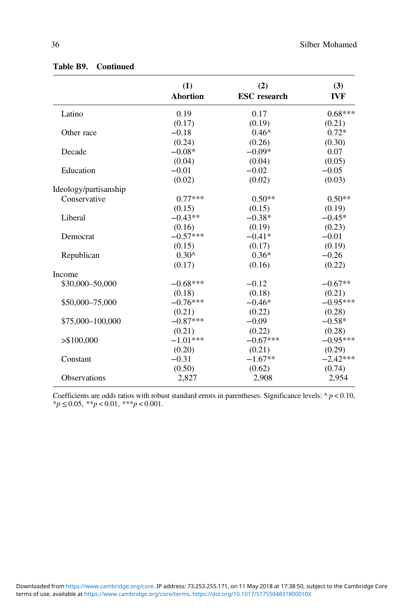|                       | (1)<br><b>Abortion</b> | (2)<br><b>ESC</b> research | (3)<br><b>IVF</b> |
|-----------------------|------------------------|----------------------------|-------------------|
| Latino                | 0.19                   | 0.17                       | $0.68***$         |
|                       | (0.17)                 | (0.19)                     | (0.21)            |
| Other race            | $-0.18$                | $0.46^{\circ}$             | $0.72*$           |
|                       | (0.24)                 | (0.26)                     | (0.30)            |
| Decade                | $-0.08*$               | $-0.09*$                   | 0.07              |
|                       | (0.04)                 | (0.04)                     | (0.05)            |
| Education             | $-0.01$                | $-0.02$                    | $-0.05$           |
|                       | (0.02)                 | (0.02)                     | (0.03)            |
| Ideology/partisanship |                        |                            |                   |
| Conservative          | $0.77***$              | $0.50**$                   | $0.50**$          |
|                       | (0.15)                 | (0.15)                     | (0.19)            |
| Liberal               | $-0.43**$              | $-0.38*$                   | $-0.45*$          |
|                       | (0.16)                 | (0.19)                     | (0.23)            |
| Democrat              | $-0.57***$             | $-0.41*$                   | $-0.01$           |
|                       | (0.15)                 | (0.17)                     | (0.19)            |
| Republican            | $0.30^{\circ}$         | $0.36*$                    | $-0.26$           |
|                       | (0.17)                 | (0.16)                     | (0.22)            |
| Income                |                        |                            |                   |
| \$30,000-50,000       | $-0.68***$             | $-0.12$                    | $-0.67**$         |
|                       | (0.18)                 | (0.18)                     | (0.21)            |
| \$50,000-75,000       | $-0.76***$             | $-0.46*$                   | $-0.95***$        |
|                       | (0.21)                 | (0.22)                     | (0.28)            |
| \$75,000-100,000      | $-0.87***$             | $-0.09$                    | $-0.58*$          |
|                       | (0.21)                 | (0.22)                     | (0.28)            |
| > \$100,000           | $-1.01***$             | $-0.67***$                 | $-0.95***$        |
|                       | (0.20)                 | (0.21)                     | (0.29)            |
| Constant              | $-0.31$                | $-1.67**$                  | $-2.42***$        |
|                       | (0.50)                 | (0.62)                     | (0.74)            |
| <b>Observations</b>   | 2,827                  | 2,908                      | 2,954             |

#### Table B9. Continued

Coefficients are odds ratios with robust standard errors in parentheses. Significance levels:  $\gamma p < 0.10$ ,  $*_{p} \leq 0.05, **_{p} < 0.01, **_{p} < 0.001.$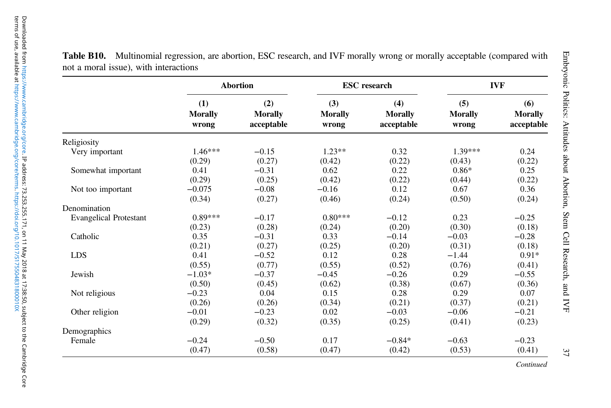|                               | <b>Abortion</b>                |                                     |                                | <b>ESC</b> research                 |                                | <b>IVF</b>                          |  |
|-------------------------------|--------------------------------|-------------------------------------|--------------------------------|-------------------------------------|--------------------------------|-------------------------------------|--|
|                               | (1)<br><b>Morally</b><br>wrong | (2)<br><b>Morally</b><br>acceptable | (3)<br><b>Morally</b><br>wrong | (4)<br><b>Morally</b><br>acceptable | (5)<br><b>Morally</b><br>wrong | (6)<br><b>Morally</b><br>acceptable |  |
| Religiosity                   |                                |                                     |                                |                                     |                                |                                     |  |
| Very important                | $1.46***$<br>(0.29)            | $-0.15$<br>(0.27)                   | $1.23**$<br>(0.42)             | 0.32<br>(0.22)                      | $1.39***$<br>(0.43)            | 0.24<br>(0.22)                      |  |
| Somewhat important            | 0.41<br>(0.29)                 | $-0.31$                             | 0.62                           | 0.22<br>(0.22)                      | $0.86*$<br>(0.44)              | 0.25                                |  |
| Not too important             | $-0.075$<br>(0.34)             | (0.25)<br>$-0.08$<br>(0.27)         | (0.42)<br>$-0.16$<br>(0.46)    | 0.12<br>(0.24)                      | 0.67<br>(0.50)                 | (0.22)<br>0.36<br>(0.24)            |  |
| Denomination                  |                                |                                     |                                |                                     |                                |                                     |  |
| <b>Evangelical Protestant</b> | $0.89***$<br>(0.23)            | $-0.17$<br>(0.28)                   | $0.80***$<br>(0.24)            | $-0.12$<br>(0.20)                   | 0.23<br>(0.30)                 | $-0.25$<br>(0.18)                   |  |
| Catholic                      | 0.35<br>(0.21)                 | $-0.31$<br>(0.27)                   | 0.33<br>(0.25)                 | $-0.14$<br>(0.20)                   | $-0.03$<br>(0.31)              | $-0.28$<br>(0.18)                   |  |
| <b>LDS</b>                    | 0.41                           | $-0.52$<br>(0.77)                   | 0.12                           | 0.28                                | $-1.44$<br>(0.76)              | $0.91*$                             |  |
| Jewish                        | (0.55)<br>$-1.03*$             | $-0.37$                             | (0.55)<br>$-0.45$              | (0.52)<br>$-0.26$                   | 0.29                           | (0.41)<br>$-0.55$                   |  |
| Not religious                 | (0.50)<br>$-0.23$              | (0.45)<br>0.04                      | (0.62)<br>0.15                 | (0.38)<br>0.28                      | (0.67)<br>0.29                 | (0.36)<br>0.07                      |  |
| Other religion                | (0.26)<br>$-0.01$              | (0.26)<br>$-0.23$                   | (0.34)<br>0.02                 | (0.21)<br>$-0.03$                   | (0.37)<br>$-0.06$              | (0.21)<br>$-0.21$                   |  |
| Demographics                  | (0.29)                         | (0.32)                              | (0.35)                         | (0.25)                              | (0.41)                         | (0.23)                              |  |
| Female                        | $-0.24$<br>(0.47)              | $-0.50$<br>(0.58)                   | 0.17<br>(0.47)                 | $-0.84*$<br>(0.42)                  | $-0.63$<br>(0.53)              | $-0.23$<br>(0.41)                   |  |

Table B10. Multinomial regression, are abortion, ESC research, and IVF morally wrong or morally acceptable (compared with not <sup>a</sup> moral issue), with interactions

Continued

Embryonic Politics: Attitudes about Abortion, Stem Cell Research, and IVF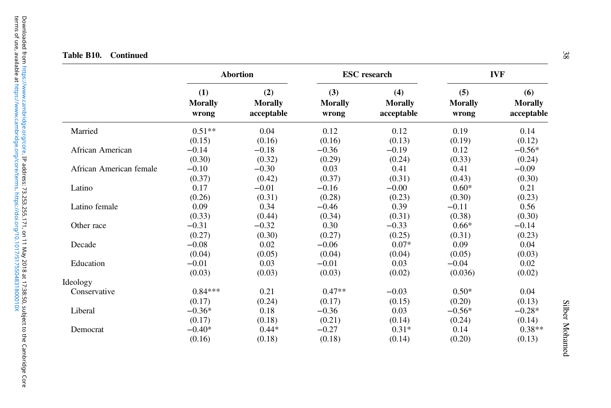#### Table B10. Continued

|                         | <b>Abortion</b>                |                                     | <b>ESC</b> research            |                                     | <b>IVF</b>                     |                                     |
|-------------------------|--------------------------------|-------------------------------------|--------------------------------|-------------------------------------|--------------------------------|-------------------------------------|
|                         | (1)<br><b>Morally</b><br>wrong | (2)<br><b>Morally</b><br>acceptable | (3)<br><b>Morally</b><br>wrong | (4)<br><b>Morally</b><br>acceptable | (5)<br><b>Morally</b><br>wrong | (6)<br><b>Morally</b><br>acceptable |
| Married                 | $0.51**$                       | 0.04                                | 0.12                           | 0.12                                | 0.19                           | 0.14                                |
|                         | (0.15)                         | (0.16)                              | (0.16)                         | (0.13)                              | (0.19)                         | (0.12)                              |
| African American        | $-0.14$                        | $-0.18$                             | $-0.36$                        | $-0.19$                             | 0.12                           | $-0.56*$                            |
|                         | (0.30)                         | (0.32)                              | (0.29)                         | (0.24)                              | (0.33)                         | (0.24)                              |
| African American female | $-0.10$                        | $-0.30$                             | 0.03                           | 0.41                                | 0.41                           | $-0.09$                             |
|                         | (0.37)                         | (0.42)                              | (0.37)                         | (0.31)                              | (0.43)                         | (0.30)                              |
| Latino                  | 0.17                           | $-0.01$                             | $-0.16$                        | $-0.00$                             | $0.60*$                        | 0.21                                |
|                         | (0.26)                         | (0.31)                              | (0.28)                         | (0.23)                              | (0.30)                         | (0.23)                              |
| Latino female           | 0.09                           | 0.34                                | $-0.46$                        | 0.39                                | $-0.11$                        | 0.56                                |
|                         | (0.33)                         | (0.44)                              | (0.34)                         | (0.31)                              | (0.38)                         | (0.30)                              |
| Other race              | $-0.31$                        | $-0.32$                             | 0.30                           | $-0.33$                             | $0.66*$                        | $-0.14$                             |
|                         | (0.27)                         | (0.30)                              | (0.27)                         | (0.25)                              | (0.31)                         | (0.23)                              |
| Decade                  | $-0.08$                        | 0.02                                | $-0.06$                        | $0.07*$                             | 0.09                           | 0.04                                |
|                         | (0.04)                         | (0.05)                              | (0.04)                         | (0.04)                              | (0.05)                         | (0.03)                              |
| Education               | $-0.01$                        | 0.03                                | $-0.01$                        | 0.03                                | $-0.04$                        | 0.02                                |
|                         | (0.03)                         | (0.03)                              | (0.03)                         | (0.02)                              | (0.036)                        | (0.02)                              |
| Ideology                |                                |                                     |                                |                                     |                                |                                     |
| Conservative            | $0.84***$                      | 0.21                                | $0.47**$                       | $-0.03$                             | $0.50*$                        | 0.04                                |
|                         | (0.17)                         | (0.24)                              | (0.17)                         | (0.15)                              | (0.20)                         | (0.13)                              |
| Liberal                 | $-0.36*$                       | 0.18                                | $-0.36$                        | 0.03                                | $-0.56*$                       | $-0.28*$                            |
|                         | (0.17)                         | (0.18)                              | (0.21)                         | (0.14)                              | (0.24)                         | (0.14)                              |
| Democrat                | $-0.40*$                       | $0.44*$                             | $-0.27$                        | $0.31*$                             | 0.14                           | $0.38**$                            |
|                         | (0.16)                         | (0.18)                              | (0.18)                         | (0.14)                              | (0.20)                         | (0.13)                              |